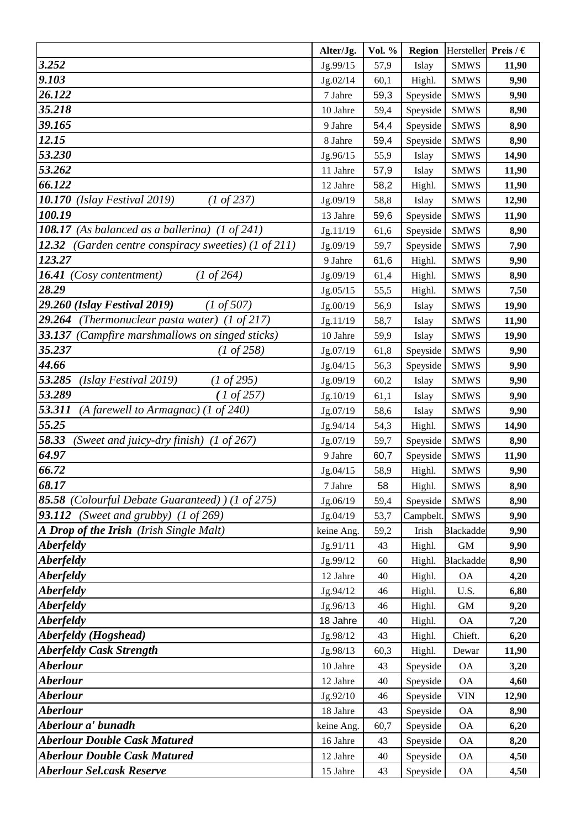|                                                             | Alter/Jg.            | Vol. %   | <b>Region</b>    | Hersteller             | Preis / $\epsilon$ |
|-------------------------------------------------------------|----------------------|----------|------------------|------------------------|--------------------|
| 3.252                                                       | Jg.99/15             | 57,9     | Islay            | <b>SMWS</b>            | 11,90              |
| 9.103                                                       | Jg.02/14             | 60,1     | Highl.           | <b>SMWS</b>            | 9,90               |
| 26.122                                                      | 7 Jahre              | 59,3     | Speyside         | <b>SMWS</b>            | 9,90               |
| 35.218                                                      | 10 Jahre             | 59,4     | Speyside         | <b>SMWS</b>            | 8,90               |
| 39.165                                                      | 9 Jahre              | 54,4     | Speyside         | <b>SMWS</b>            | 8,90               |
| 12.15                                                       | 8 Jahre              | 59,4     | Speyside         | <b>SMWS</b>            | 8,90               |
| 53.230                                                      | Jg.96/15             | 55,9     | Islay            | <b>SMWS</b>            | 14,90              |
| 53.262                                                      | 11 Jahre             | 57,9     | Islay            | <b>SMWS</b>            | 11,90              |
| 66.122                                                      | 12 Jahre             | 58,2     | Highl.           | <b>SMWS</b>            | 11,90              |
| 10.170<br>$(1 \text{ of } 237)$<br>(Islay Festival 2019)    | Jg.09/19             | 58,8     | Islay            | <b>SMWS</b>            | 12,90              |
| 100.19                                                      | 13 Jahre             | 59,6     | Speyside         | <b>SMWS</b>            | 11,90              |
| 108.17 (As balanced as a ballerina) (1 of 241)              | Jg.11/19             | 61,6     | Speyside         | <b>SMWS</b>            | 8,90               |
| 12.32<br>(Garden centre conspiracy sweeties) (1 of 211)     | Jg.09/19             | 59,7     | Speyside         | <b>SMWS</b>            | 7,90               |
| 123.27                                                      | 9 Jahre              | 61,6     | Highl.           | <b>SMWS</b>            | 9,90               |
| 16.41 (Cosy contentment)<br>$(1 \text{ of } 264)$           | Jg.09/19             | 61,4     | Highl.           | <b>SMWS</b>            | 8,90               |
| 28.29                                                       | Jg.05/15             | 55,5     | Highl.           | <b>SMWS</b>            | 7,50               |
| 29.260 (Islay Festival 2019)<br>$(1 \text{ of } 507)$       | Jg.00/19             | 56,9     | Islay            | <b>SMWS</b>            | 19,90              |
| 29.264<br>(Thermonuclear pasta water) $(1 \text{ of } 217)$ | Jg.11/19             | 58,7     | Islay            | <b>SMWS</b>            | 11,90              |
| 33.137<br>(Campfire marshmallows on singed sticks)          | 10 Jahre             | 59,9     | Islay            | <b>SMWS</b>            | 19,90              |
| 35.237<br>$(1 \text{ of } 258)$                             | Jg.07/19             | 61,8     | Speyside         | <b>SMWS</b>            | 9,90               |
| 44.66                                                       | Jg.04/15             | 56,3     | Speyside         | <b>SMWS</b>            | 9,90               |
| 53.285<br>(Islay Festival 2019)<br>$(1 \text{ of } 295)$    | Jg.09/19             | 60,2     | Islay            | <b>SMWS</b>            | 9,90               |
| 53.289<br>(1 of 257)                                        | Jg.10/19             | 61,1     | Islay            | <b>SMWS</b>            | 9,90               |
| 53.311<br>(A farewell to Armagnac) (1 of 240)               | Jg.07/19             | 58,6     | Islay            | <b>SMWS</b>            | 9,90               |
| 55.25                                                       | Jg.94/14             | 54,3     | Highl.           | <b>SMWS</b>            | 14,90              |
| 58.33<br>(Sweet and juicy-dry finish) (1 of 267)            | Jg.07/19             | 59,7     | Speyside         | <b>SMWS</b>            | 8,90               |
| 64.97                                                       | 9 Jahre              | 60,7     | Speyside         | <b>SMWS</b>            | 11,90              |
| 66.72                                                       | Jg.04/15             | 58,9     | Highl.           | <b>SMWS</b>            | 9,90               |
| 68.17                                                       | 7 Jahre              | 58       | Highl.           | <b>SMWS</b>            | 8,90               |
| 85.58 (Colourful Debate Guaranteed) ) (1 of 275)            | Jg.06/19             | 59,4     | Speyside         | <b>SMWS</b>            | 8,90               |
| <b>93.112</b> (Sweet and grubby) $(1 \text{ of } 269)$      | Jg.04/19             | 53,7     | Campbelt.        | <b>SMWS</b>            | 9,90               |
| A Drop of the Irish (Irish Single Malt)<br><b>Aberfeldy</b> | keine Ang.           | 59,2     | Irish            | <b>Blackadde</b>       | 9,90               |
| Aberfeldy                                                   | Jg.91/11<br>Jg.99/12 | 43<br>60 | Highl.           | GM<br><b>Blackadde</b> | 9,90<br>8,90       |
| <b>Aberfeldy</b>                                            | 12 Jahre             | 40       | Highl.<br>Highl. | <b>OA</b>              | 4,20               |
| <b>Aberfeldy</b>                                            | Jg.94/12             | 46       | Highl.           | U.S.                   | 6,80               |
| <b>Aberfeldy</b>                                            | Jg.96/13             | 46       | Highl.           | GM                     | 9,20               |
| <i><b>Aberfeldy</b></i>                                     | 18 Jahre             | 40       | Highl.           | <b>OA</b>              | 7,20               |
| Aberfeldy (Hogshead)                                        | Jg.98/12             | 43       | Highl.           | Chieft.                | 6,20               |
| <b>Aberfeldy Cask Strength</b>                              | Jg.98/13             | 60,3     | Highl.           | Dewar                  | 11,90              |
| <b>Aberlour</b>                                             | 10 Jahre             | 43       | Speyside         | <b>OA</b>              | 3,20               |
| Aberlour                                                    | 12 Jahre             | 40       | Speyside         | <b>OA</b>              | 4,60               |
| <b>Aberlour</b>                                             | Jg.92/10             | 46       | Speyside         | <b>VIN</b>             | 12,90              |
| <b>Aberlour</b>                                             | 18 Jahre             | 43       | Speyside         | <b>OA</b>              | 8,90               |
| Aberlour a' bunadh                                          | keine Ang.           | 60,7     | Speyside         | <b>OA</b>              | 6,20               |
| <b>Aberlour Double Cask Matured</b>                         | 16 Jahre             | 43       | Speyside         | <b>OA</b>              | 8,20               |
| <b>Aberlour Double Cask Matured</b>                         | 12 Jahre             | 40       | Speyside         | <b>OA</b>              | 4,50               |
| <b>Aberlour Sel.cask Reserve</b>                            | 15 Jahre             | 43       | Speyside         | <b>OA</b>              | 4,50               |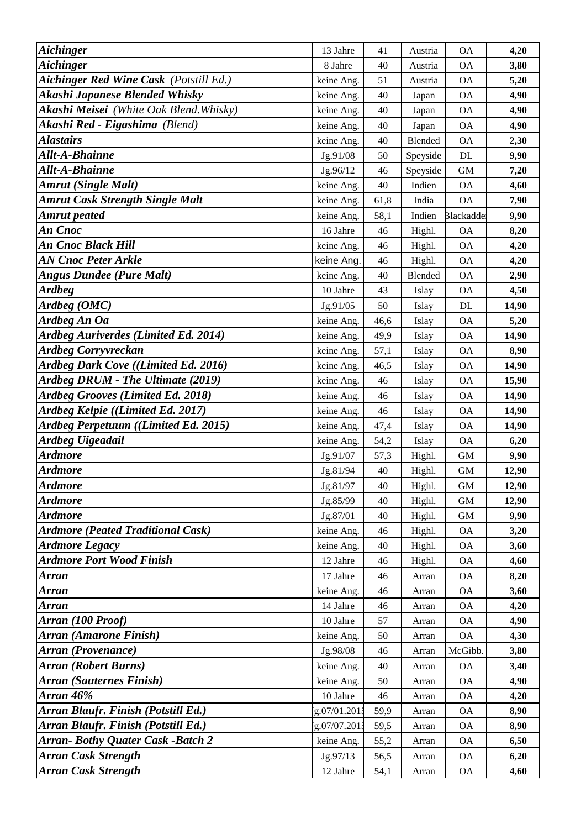| <b>Aichinger</b>                              | 13 Jahre     | 41     | Austria        | <b>OA</b>        | 4,20  |
|-----------------------------------------------|--------------|--------|----------------|------------------|-------|
| <b>Aichinger</b>                              | 8 Jahre      | 40     | Austria        | <b>OA</b>        | 3,80  |
| <b>Aichinger Red Wine Cask (Potstill Ed.)</b> | keine Ang.   | 51     | Austria        | <b>OA</b>        | 5,20  |
| Akashi Japanese Blended Whisky                | keine Ang.   | 40     | Japan          | <b>OA</b>        | 4,90  |
| Akashi Meisei (White Oak Blend. Whisky)       | keine Ang.   | 40     | Japan          | <b>OA</b>        | 4,90  |
| Akashi Red - Eigashima (Blend)                | keine Ang.   | 40     | Japan          | <b>OA</b>        | 4,90  |
| <b>Alastairs</b>                              | keine Ang.   | 40     | <b>Blended</b> | <b>OA</b>        | 2,30  |
| Allt-A-Bhainne                                | Jg.91/08     | 50     | Speyside       | DL               | 9,90  |
| Allt-A-Bhainne                                | Jg.96/12     | 46     | Speyside       | <b>GM</b>        | 7,20  |
| <b>Amrut (Single Malt)</b>                    | keine Ang.   | 40     | Indien         | <b>OA</b>        | 4,60  |
| <b>Amrut Cask Strength Single Malt</b>        | keine Ang.   | 61,8   | India          | <b>OA</b>        | 7,90  |
| <b>Amrut</b> peated                           | keine Ang.   | 58,1   | Indien         | <b>Blackadde</b> | 9,90  |
| An Cnoc                                       | 16 Jahre     | 46     | Highl.         | <b>OA</b>        | 8,20  |
| An Cnoc Black Hill                            | keine Ang.   | 46     | Highl.         | <b>OA</b>        | 4,20  |
| AN Cnoc Peter Arkle                           | keine Ang.   | 46     | Highl.         | <b>OA</b>        | 4,20  |
| <b>Angus Dundee (Pure Malt)</b>               | keine Ang.   | 40     | Blended        | <b>OA</b>        | 2,90  |
| <b>Ardbeg</b>                                 | 10 Jahre     | 43     | Islay          | <b>OA</b>        | 4,50  |
| Ardbeg (OMC)                                  | Jg.91/05     | 50     | Islay          | DL               | 14,90 |
| Ardbeg An Oa                                  | keine Ang.   | 46,6   | Islay          | <b>OA</b>        | 5,20  |
| Ardbeg Auriverdes (Limited Ed. 2014)          | keine Ang.   | 49,9   | Islay          | <b>OA</b>        | 14,90 |
| <b>Ardbeg Corryvreckan</b>                    | keine Ang.   | 57,1   | Islay          | <b>OA</b>        | 8,90  |
| Ardbeg Dark Cove ((Limited Ed. 2016)          | keine Ang.   | 46,5   | Islay          | <b>OA</b>        | 14,90 |
| Ardbeg DRUM - The Ultimate (2019)             | keine Ang.   | 46     | Islay          | <b>OA</b>        | 15,90 |
| Ardbeg Grooves (Limited Ed. 2018)             | keine Ang.   | 46     | Islay          | <b>OA</b>        | 14,90 |
| Ardbeg Kelpie ((Limited Ed. 2017)             | keine Ang.   | 46     | Islay          | <b>OA</b>        | 14,90 |
| Ardbeg Perpetuum ((Limited Ed. 2015)          | keine Ang.   | 47,4   | Islay          | <b>OA</b>        | 14,90 |
| Ardbeg Uigeadail                              | keine Ang.   | 54,2   | Islay          | <b>OA</b>        | 6,20  |
| <b>Ardmore</b>                                | Jg.91/07     | 57,3   | Highl.         | <b>GM</b>        | 9,90  |
| Ardmore                                       | Jg.81/94     | 40     | Highl.         | <b>GM</b>        | 12,90 |
| Ardmore                                       | Jg.81/97     | 40     | Highl.         | GM               | 12,90 |
| Ardmore                                       | Jg.85/99     | 40     | Highl.         | <b>GM</b>        | 12,90 |
| <b>Ardmore</b>                                | Jg.87/01     | 40     | Highl.         | $\mbox{GM}$      | 9,90  |
| <b>Ardmore (Peated Traditional Cask)</b>      | keine Ang.   | 46     | Highl.         | <b>OA</b>        | 3,20  |
| <b>Ardmore Legacy</b>                         | keine Ang.   | 40     | Highl.         | <b>OA</b>        | 3,60  |
| <b>Ardmore Port Wood Finish</b>               | 12 Jahre     | 46     | Highl.         | <b>OA</b>        | 4,60  |
| <b>Arran</b>                                  | 17 Jahre     | 46     | Arran          | <b>OA</b>        | 8,20  |
| Arran                                         | keine Ang.   | 46     | Arran          | <b>OA</b>        | 3,60  |
| Arran                                         | 14 Jahre     | 46     | Arran          | <b>OA</b>        | 4,20  |
| Arran (100 Proof)                             | 10 Jahre     | 57     | Arran          | <b>OA</b>        | 4,90  |
| Arran (Amarone Finish)                        | keine Ang.   | 50     | Arran          | <b>OA</b>        | 4,30  |
| <b>Arran (Provenance)</b>                     | Jg.98/08     | 46     | Arran          | McGibb.          | 3,80  |
| <b>Arran (Robert Burns)</b>                   | keine Ang.   | 40     | Arran          | <b>OA</b>        | 3,40  |
| <b>Arran (Sauternes Finish)</b>               | keine Ang.   | 50     | Arran          | <b>OA</b>        | 4,90  |
| <b>Arran 46%</b>                              | 10 Jahre     | $46\,$ | Arran          | <b>OA</b>        | 4,20  |
| Arran Blaufr. Finish (Potstill Ed.)           | g.07/01.2015 | 59,9   | Arran          | <b>OA</b>        | 8,90  |
| Arran Blaufr. Finish (Potstill Ed.)           | g.07/07.2015 | 59,5   | Arran          | <b>OA</b>        | 8,90  |
| <b>Arran-Bothy Quater Cask -Batch 2</b>       | keine Ang.   | 55,2   | Arran          | <b>OA</b>        | 6,50  |
| <b>Arran Cask Strength</b>                    | Jg.97/13     | 56,5   | Arran          | <b>OA</b>        | 6,20  |
| <b>Arran Cask Strength</b>                    | 12 Jahre     | 54,1   | Arran          | <b>OA</b>        | 4,60  |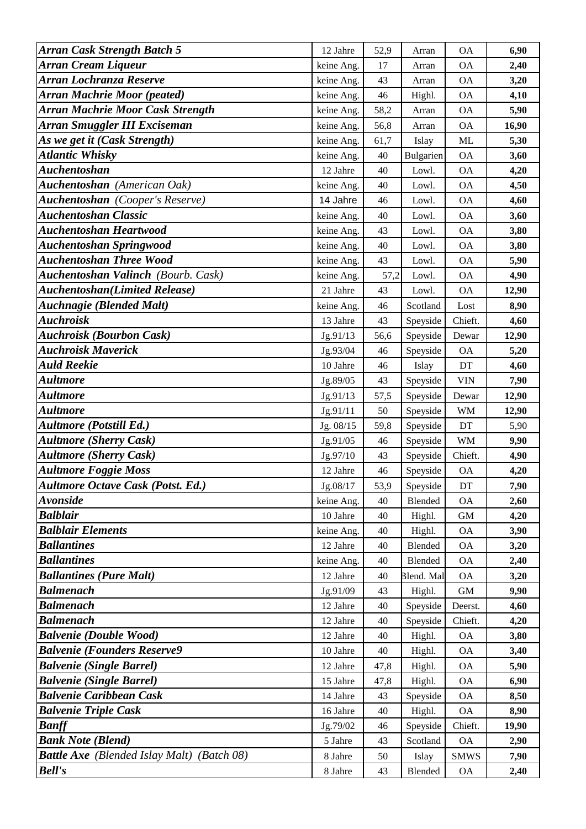| <b>Arran Cask Strength Batch 5</b>                | 12 Jahre             | 52,9     | Arran            | <b>OA</b>                  | 6,90         |
|---------------------------------------------------|----------------------|----------|------------------|----------------------------|--------------|
| Arran Cream Liqueur                               | keine Ang.           | 17       | Arran            | <b>OA</b>                  | 2,40         |
| Arran Lochranza Reserve                           | keine Ang.           | 43       | Arran            | <b>OA</b>                  | 3,20         |
| <b>Arran Machrie Moor (peated)</b>                | keine Ang.           | 46       | Highl.           | <b>OA</b>                  | 4,10         |
| <b>Arran Machrie Moor Cask Strength</b>           | keine Ang.           | 58,2     | Arran            | <b>OA</b>                  | 5,90         |
| Arran Smuggler III Exciseman                      | keine Ang.           | 56,8     | Arran            | <b>OA</b>                  | 16,90        |
| As we get it (Cask Strength)                      | keine Ang.           | 61,7     | Islay            | ML                         | 5,30         |
| <b>Atlantic Whisky</b>                            | keine Ang.           | 40       | Bulgarien        | <b>OA</b>                  | 3,60         |
| <b>Auchentoshan</b>                               | 12 Jahre             | 40       | Lowl.            | <b>OA</b>                  | 4,20         |
| <b>Auchentoshan</b> (American Oak)                | keine Ang.           | 40       | Lowl.            | <b>OA</b>                  | 4,50         |
| <b>Auchentoshan</b> (Cooper's Reserve)            | 14 Jahre             | 46       | Lowl.            | <b>OA</b>                  | 4,60         |
| <b>Auchentoshan Classic</b>                       | keine Ang.           | 40       | Lowl.            | <b>OA</b>                  | 3,60         |
| <b>Auchentoshan Heartwood</b>                     | keine Ang.           | 43       | Lowl.            | <b>OA</b>                  | 3,80         |
| <b>Auchentoshan Springwood</b>                    | keine Ang.           | 40       | Lowl.            | <b>OA</b>                  | 3,80         |
| <b>Auchentoshan Three Wood</b>                    | keine Ang.           | 43       | Lowl.            | <b>OA</b>                  | 5,90         |
| <b>Auchentoshan Valinch</b> (Bourb. Cask)         | keine Ang.           | 57,2     | Lowl.            | <b>OA</b>                  | 4,90         |
| <b>Auchentoshan</b> (Limited Release)             | 21 Jahre             | 43       | Lowl.            | <b>OA</b>                  | 12,90        |
| <b>Auchnagie (Blended Malt)</b>                   | keine Ang.           | 46       | Scotland         | Lost                       | 8,90         |
| <b>Auchroisk</b>                                  | 13 Jahre             | 43       | Speyside         | Chieft.                    | 4,60         |
| <b>Auchroisk (Bourbon Cask)</b>                   | Jg.91/13             | 56,6     | Speyside         | Dewar                      | 12,90        |
| <b>Auchroisk Maverick</b>                         | Jg.93/04             | 46       | Speyside         | <b>OA</b>                  | 5,20         |
| <b>Auld Reekie</b>                                | 10 Jahre             | 46       | Islay            | $\mathop{\rm DT}\nolimits$ | 4,60         |
| Aultmore                                          | Jg.89/05             | 43       | Speyside         | <b>VIN</b>                 | 7,90         |
| <b>Aultmore</b>                                   | Jg.91/13             | 57,5     | Speyside         | Dewar                      | 12,90        |
| Aultmore                                          | Jg.91/11             | 50       | Speyside         | <b>WM</b>                  | 12,90        |
| <b>Aultmore (Potstill Ed.)</b>                    | Jg. 08/15            | 59,8     | Speyside         | DT                         | 5,90         |
| <b>Aultmore (Sherry Cask)</b>                     | Jg.91/05             | 46       | Speyside         | <b>WM</b>                  | 9,90         |
| <b>Aultmore (Sherry Cask)</b>                     | Jg.97/10             | 43       | Speyside         | Chieft.                    | 4,90         |
| <b>Aultmore Foggie Moss</b>                       | 12 Jahre             | 46       | Speyside         | <b>OA</b>                  | 4,20         |
| <b>Aultmore Octave Cask (Potst. Ed.)</b>          | Jg.08/17             | 53,9     | Speyside         | DT                         | 7,90         |
| <b>Avonside</b>                                   | keine Ang.           | 40       | Blended          | <b>OA</b>                  | 2,60         |
| <b>Balblair</b>                                   | 10 Jahre             | 40       | Highl.           | <b>GM</b>                  | 4,20         |
| <b>Balblair Elements</b>                          | keine Ang.           | 40       | Highl.           | <b>OA</b>                  | 3,90         |
| <b>Ballantines</b>                                | 12 Jahre             | 40       | Blended          | <b>OA</b>                  | 3,20         |
| <b>Ballantines</b>                                | keine Ang.           | 40       | Blended          | <b>OA</b>                  | 2,40         |
| <b>Ballantines (Pure Malt)</b>                    | 12 Jahre             | 40       | Blend. Mal       | <b>OA</b>                  | 3,20         |
| <b>Balmenach</b><br><b>Balmenach</b>              | Jg.91/09             | 43       | Highl.           | GM                         | 9,90         |
| <b>Balmenach</b>                                  | 12 Jahre             | 40       | Speyside         | Deerst.                    | 4,60         |
| <b>Balvenie (Double Wood)</b>                     | 12 Jahre<br>12 Jahre | 40       | Speyside         | Chieft.<br><b>OA</b>       | 4,20         |
| <b>Balvenie (Founders Reserve9</b>                | 10 Jahre             | 40<br>40 | Highl.           | <b>OA</b>                  | 3,80         |
| <b>Balvenie (Single Barrel)</b>                   | 12 Jahre             | 47,8     | Highl.<br>Highl. | <b>OA</b>                  | 3,40<br>5,90 |
| <b>Balvenie (Single Barrel)</b>                   | 15 Jahre             | 47,8     | Highl.           | <b>OA</b>                  | 6,90         |
| <b>Balvenie Caribbean Cask</b>                    | 14 Jahre             | 43       | Speyside         | <b>OA</b>                  | 8,50         |
| <b>Balvenie Triple Cask</b>                       | 16 Jahre             | 40       | Highl.           | <b>OA</b>                  | 8,90         |
| <b>Banff</b>                                      | Jg.79/02             | 46       | Speyside         | Chieft.                    | 19,90        |
| <b>Bank Note (Blend)</b>                          | 5 Jahre              | 43       | Scotland         | <b>OA</b>                  | 2,90         |
| <b>Battle Axe</b> (Blended Islay Malt) (Batch 08) | 8 Jahre              | 50       | Islay            | <b>SMWS</b>                | 7,90         |
| <b>Bell's</b>                                     | 8 Jahre              | 43       | Blended          | <b>OA</b>                  | 2,40         |
|                                                   |                      |          |                  |                            |              |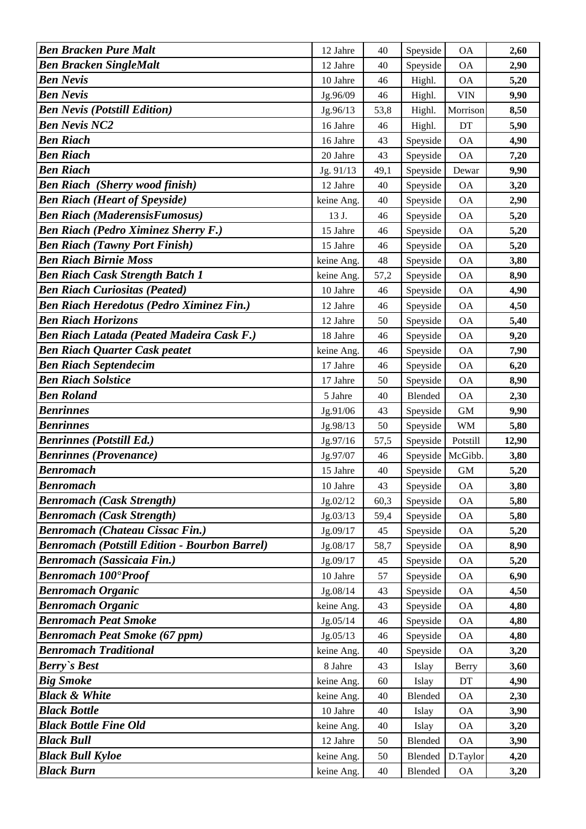| <b>Ben Bracken Pure Malt</b>                         | 12 Jahre             | 40     | Speyside | <b>OA</b>    | 2,60  |
|------------------------------------------------------|----------------------|--------|----------|--------------|-------|
| <b>Ben Bracken SingleMalt</b>                        | 12 Jahre             | 40     | Speyside | <b>OA</b>    | 2,90  |
| <b>Ben Nevis</b>                                     | 10 Jahre             | 46     | Highl.   | <b>OA</b>    | 5,20  |
| <b>Ben Nevis</b>                                     | Jg.96/09             | 46     | Highl.   | <b>VIN</b>   | 9,90  |
| <b>Ben Nevis (Potstill Edition)</b>                  | Jg.96/13             | 53,8   | Highl.   | Morrison     | 8,50  |
| <b>Ben Nevis NC2</b>                                 | 16 Jahre             | 46     | Highl.   | DT           | 5,90  |
| <b>Ben Riach</b>                                     | 16 Jahre             | 43     | Speyside | <b>OA</b>    | 4,90  |
| <b>Ben Riach</b>                                     | 20 Jahre             | 43     | Speyside | <b>OA</b>    | 7,20  |
| <b>Ben Riach</b>                                     | Jg. 91/13            | 49,1   | Speyside | Dewar        | 9,90  |
| <b>Ben Riach (Sherry wood finish)</b>                | 12 Jahre             | 40     | Speyside | <b>OA</b>    | 3,20  |
| <b>Ben Riach (Heart of Speyside)</b>                 | keine Ang.           | 40     | Speyside | <b>OA</b>    | 2,90  |
| <b>Ben Riach (MaderensisFumosus)</b>                 | 13 J.                | 46     | Speyside | <b>OA</b>    | 5,20  |
| <b>Ben Riach (Pedro Ximinez Sherry F.)</b>           | 15 Jahre             | 46     | Speyside | <b>OA</b>    | 5,20  |
| <b>Ben Riach (Tawny Port Finish)</b>                 | 15 Jahre             | 46     | Speyside | <b>OA</b>    | 5,20  |
| <b>Ben Riach Birnie Moss</b>                         | keine Ang.           | 48     | Speyside | <b>OA</b>    | 3,80  |
| <b>Ben Riach Cask Strength Batch 1</b>               | keine Ang.           | 57,2   | Speyside | <b>OA</b>    | 8,90  |
| <b>Ben Riach Curiositas (Peated)</b>                 | 10 Jahre             | 46     | Speyside | <b>OA</b>    | 4,90  |
| <b>Ben Riach Heredotus (Pedro Ximinez Fin.)</b>      | 12 Jahre             | 46     | Speyside | <b>OA</b>    | 4,50  |
| <b>Ben Riach Horizons</b>                            | 12 Jahre             | 50     | Speyside | <b>OA</b>    | 5,40  |
| <b>Ben Riach Latada (Peated Madeira Cask F.)</b>     | 18 Jahre             | 46     | Speyside | <b>OA</b>    | 9,20  |
| <b>Ben Riach Quarter Cask peatet</b>                 | keine Ang.           | 46     | Speyside | <b>OA</b>    | 7,90  |
| <b>Ben Riach Septendecim</b>                         | 17 Jahre             | 46     | Speyside | <b>OA</b>    | 6,20  |
| <b>Ben Riach Solstice</b>                            | 17 Jahre             | 50     | Speyside | <b>OA</b>    | 8,90  |
| <b>Ben Roland</b>                                    | 5 Jahre              | 40     | Blended  | <b>OA</b>    | 2,30  |
| <b>Benrinnes</b>                                     | Jg.91/06             | 43     | Speyside | <b>GM</b>    | 9,90  |
| <b>Benrinnes</b>                                     | Jg.98/13             | 50     | Speyside | <b>WM</b>    | 5,80  |
| <b>Benrinnes (Potstill Ed.)</b>                      | Jg.97/16             | 57,5   | Speyside | Potstill     | 12,90 |
| <b>Benrinnes (Provenance)</b>                        | Jg.97/07             | 46     | Speyside | McGibb.      | 3,80  |
| <b>Benromach</b>                                     | 15 Jahre             | $40\,$ | Speyside | $\mbox{GM}$  | 5,20  |
| <b>Benromach</b>                                     | $10\ \mathrm{Jahre}$ | 43     | Speyside | <b>OA</b>    | 3,80  |
| <b>Benromach (Cask Strength)</b>                     | Jg.02/12             | 60,3   | Speyside | <b>OA</b>    | 5,80  |
| <b>Benromach (Cask Strength)</b>                     | Jg.03/13             | 59,4   | Speyside | <b>OA</b>    | 5,80  |
| <b>Benromach (Chateau Cissac Fin.)</b>               | Jg.09/17             | 45     | Speyside | <b>OA</b>    | 5,20  |
| <b>Benromach (Potstill Edition - Bourbon Barrel)</b> | Jg.08/17             | 58,7   | Speyside | <b>OA</b>    | 8,90  |
| <b>Benromach (Sassicaia Fin.)</b>                    | Jg.09/17             | 45     | Speyside | <b>OA</b>    | 5,20  |
| <b>Benromach 100°Proof</b>                           | 10 Jahre             | 57     | Speyside | <b>OA</b>    | 6,90  |
| <b>Benromach Organic</b>                             | Jg.08/14             | 43     | Speyside | <b>OA</b>    | 4,50  |
| <b>Benromach Organic</b>                             | keine Ang.           | 43     | Speyside | <b>OA</b>    | 4,80  |
| <b>Benromach Peat Smoke</b>                          | Jg.05/14             | 46     | Speyside | <b>OA</b>    | 4,80  |
| <b>Benromach Peat Smoke (67 ppm)</b>                 | Jg.05/13             | 46     | Speyside | <b>OA</b>    | 4,80  |
| <b>Benromach Traditional</b>                         | keine Ang.           | $40\,$ | Speyside | <b>OA</b>    | 3,20  |
| <b>Berry's Best</b>                                  | 8 Jahre              | 43     | Islay    | <b>Berry</b> | 3,60  |
| <b>Big Smoke</b>                                     | keine Ang.           | 60     | Islay    | DT           | 4,90  |
| <b>Black &amp; White</b>                             | keine Ang.           | 40     | Blended  | <b>OA</b>    | 2,30  |
| <b>Black Bottle</b>                                  | 10 Jahre             | 40     | Islay    | <b>OA</b>    | 3,90  |
| <b>Black Bottle Fine Old</b>                         | keine Ang.           | 40     | Islay    | <b>OA</b>    | 3,20  |
| <b>Black Bull</b><br><b>Black Bull Kyloe</b>         | 12 Jahre             | 50     | Blended  | <b>OA</b>    | 3,90  |
| <b>Black Burn</b>                                    | keine Ang.           | 50     | Blended  | D.Taylor     | 4,20  |
|                                                      | keine Ang.           | 40     | Blended  | <b>OA</b>    | 3,20  |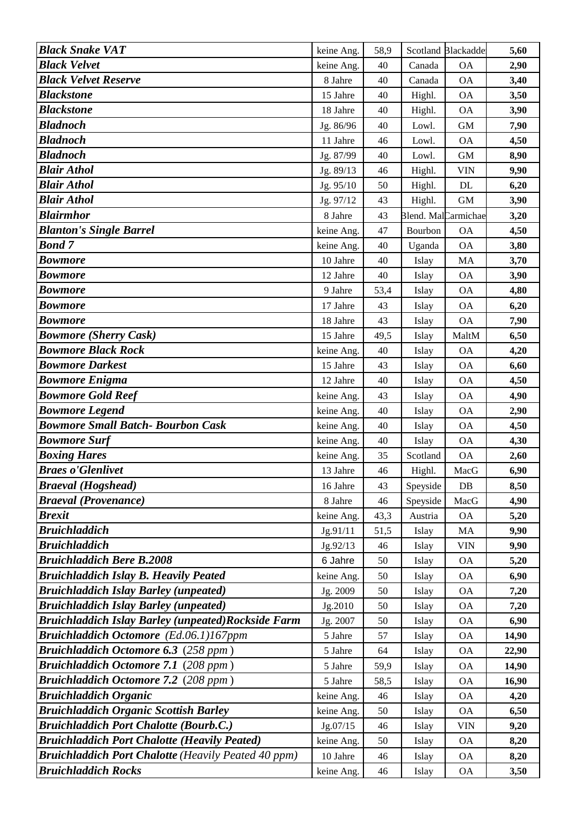| <b>Black Snake VAT</b>                                                                                            | keine Ang.             | 58,9     |          | Scotland Blackadde  | 5,60  |
|-------------------------------------------------------------------------------------------------------------------|------------------------|----------|----------|---------------------|-------|
| <b>Black Velvet</b>                                                                                               | keine Ang.             | 40       | Canada   | <b>OA</b>           | 2,90  |
| <b>Black Velvet Reserve</b>                                                                                       | 8 Jahre                | 40       | Canada   | <b>OA</b>           | 3,40  |
| <b>Blackstone</b>                                                                                                 | 15 Jahre               | 40       | Highl.   | <b>OA</b>           | 3,50  |
| <b>Blackstone</b>                                                                                                 | 18 Jahre               | 40       | Highl.   | <b>OA</b>           | 3,90  |
| <b>Bladnoch</b>                                                                                                   | Jg. 86/96              | 40       | Lowl.    | <b>GM</b>           | 7,90  |
| <b>Bladnoch</b>                                                                                                   | 11 Jahre               | 46       | Lowl.    | <b>OA</b>           | 4,50  |
| <b>Bladnoch</b>                                                                                                   | Jg. 87/99              | 40       | Lowl.    | <b>GM</b>           | 8,90  |
| <b>Blair Athol</b>                                                                                                | Jg. 89/13              | 46       | Highl.   | <b>VIN</b>          | 9,90  |
| <b>Blair Athol</b>                                                                                                | Jg. 95/10              | 50       | Highl.   | DL                  | 6,20  |
| <b>Blair Athol</b>                                                                                                | Jg. 97/12              | 43       | Highl.   | <b>GM</b>           | 3,90  |
| <b>Blairmhor</b>                                                                                                  | 8 Jahre                | 43       |          | Blend. MalCarmichae | 3,20  |
| <b>Blanton's Single Barrel</b>                                                                                    | keine Ang.             | 47       | Bourbon  | <b>OA</b>           | 4,50  |
| <b>Bond 7</b>                                                                                                     | keine Ang.             | 40       | Uganda   | <b>OA</b>           | 3,80  |
| <b>Bowmore</b>                                                                                                    | 10 Jahre               | 40       | Islay    | MA                  | 3,70  |
| <b>Bowmore</b>                                                                                                    | 12 Jahre               | 40       | Islay    | <b>OA</b>           | 3,90  |
| <b>Bowmore</b>                                                                                                    | 9 Jahre                | 53,4     | Islay    | <b>OA</b>           | 4,80  |
| <b>Bowmore</b>                                                                                                    | 17 Jahre               | 43       | Islay    | <b>OA</b>           | 6,20  |
| <b>Bowmore</b>                                                                                                    | 18 Jahre               | 43       | Islay    | <b>OA</b>           | 7,90  |
| <b>Bowmore (Sherry Cask)</b>                                                                                      | 15 Jahre               | 49,5     | Islay    | MaltM               | 6,50  |
| <b>Bowmore Black Rock</b>                                                                                         | keine Ang.             | 40       | Islay    | <b>OA</b>           | 4,20  |
| <b>Bowmore Darkest</b>                                                                                            | 15 Jahre               | 43       | Islay    | <b>OA</b>           | 6,60  |
| <b>Bowmore Enigma</b>                                                                                             | 12 Jahre               | 40       | Islay    | <b>OA</b>           | 4,50  |
| <b>Bowmore Gold Reef</b>                                                                                          | keine Ang.             | 43       | Islay    | <b>OA</b>           | 4,90  |
| <b>Bowmore Legend</b>                                                                                             | keine Ang.             | 40       | Islay    | <b>OA</b>           | 2,90  |
| <b>Bowmore Small Batch- Bourbon Cask</b>                                                                          | keine Ang.             | 40       | Islay    | <b>OA</b>           | 4,50  |
| <b>Bowmore Surf</b>                                                                                               | keine Ang.             | 40       | Islay    | <b>OA</b>           | 4,30  |
| <b>Boxing Hares</b>                                                                                               | keine Ang.             | 35       | Scotland | <b>OA</b>           | 2,60  |
| <b>Braes o'Glenlivet</b>                                                                                          | 13 Jahre               | 46       | Highl.   | MacG                | 6,90  |
| Braeval (Hogshead)                                                                                                | 16 Jahre               | 43       | Speyside | $DB$                | 8,50  |
| <b>Braeval</b> (Provenance)                                                                                       | 8 Jahre                | 46       | Speyside | MacG                | 4,90  |
| <b>Brexit</b>                                                                                                     | keine Ang.             | 43,3     | Austria  | <b>OA</b>           | 5,20  |
| <b>Bruichladdich</b>                                                                                              | Jg.91/11               | 51,5     | Islay    | MA                  | 9,90  |
| <b>Bruichladdich</b>                                                                                              | Jg.92/13               | 46       | Islay    | <b>VIN</b>          | 9,90  |
| <b>Bruichladdich Bere B.2008</b>                                                                                  | 6 Jahre                | 50       | Islay    | <b>OA</b>           | 5,20  |
| <b>Bruichladdich Islay B. Heavily Peated</b>                                                                      | keine Ang.             | 50       | Islay    | <b>OA</b>           | 6,90  |
| <b>Bruichladdich Islay Barley (unpeated)</b>                                                                      | Jg. 2009               | 50       | Islay    | $\mathsf{OA}$       | 7,20  |
| <b>Bruichladdich Islay Barley (unpeated)</b>                                                                      | Jg.2010                | 50       | Islay    | <b>OA</b>           | 7,20  |
| <b>Bruichladdich Islay Barley (unpeated)Rockside Farm</b>                                                         | Jg. 2007               | 50       | Islay    | <b>OA</b>           | 6,90  |
| Bruichladdich Octomore (Ed.06.1)167ppm                                                                            | 5 Jahre                | 57       | Islay    | <b>OA</b>           | 14,90 |
| <b>Bruichladdich Octomore 6.3</b> (258 ppm)                                                                       | 5 Jahre                | 64       | Islay    | <b>OA</b>           | 22,90 |
| <b>Bruichladdich Octomore 7.1 (208 ppm)</b>                                                                       | 5 Jahre                | 59,9     | Islay    | <b>OA</b>           | 14,90 |
| <b>Bruichladdich Octomore 7.2</b> (208 ppm)                                                                       | 5 Jahre                | 58,5     | Islay    | <b>OA</b>           | 16,90 |
| <b>Bruichladdich Organic</b>                                                                                      | keine Ang.             | 46       | Islay    | <b>OA</b>           | 4,20  |
| <b>Bruichladdich Organic Scottish Barley</b>                                                                      | keine Ang.             | 50       | Islay    | <b>OA</b>           | 6,50  |
| <b>Bruichladdich Port Chalotte (Bourb.C.)</b>                                                                     | Jg.07/15               | 46       | Islay    | <b>VIN</b>          | 9,20  |
| <b>Bruichladdich Port Chalotte (Heavily Peated)</b><br><b>Bruichladdich Port Chalotte (Heavily Peated 40 ppm)</b> | keine Ang.<br>10 Jahre | 50<br>46 | Islay    | <b>OA</b>           | 8,20  |
| <b>Bruichladdich Rocks</b>                                                                                        |                        |          | Islay    | <b>OA</b>           | 8,20  |
|                                                                                                                   | keine Ang.             | 46       | Islay    | <b>OA</b>           | 3,50  |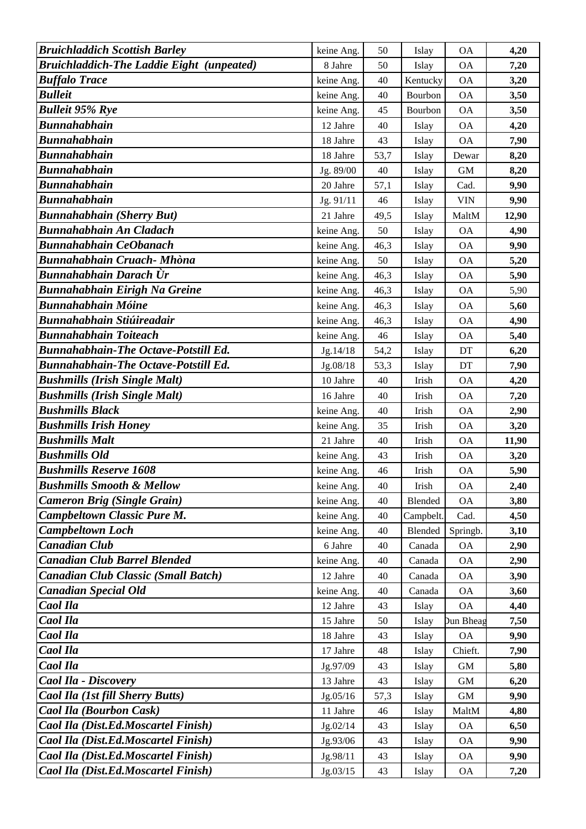| <b>Bruichladdich Scottish Barley</b>             | keine Ang. | 50   | Islay     | <b>OA</b>                  | 4,20  |
|--------------------------------------------------|------------|------|-----------|----------------------------|-------|
| <b>Bruichladdich-The Laddie Eight (unpeated)</b> | 8 Jahre    | 50   | Islay     | <b>OA</b>                  | 7,20  |
| <b>Buffalo Trace</b>                             | keine Ang. | 40   | Kentucky  | <b>OA</b>                  | 3,20  |
| <b>Bulleit</b>                                   | keine Ang. | 40   | Bourbon   | <b>OA</b>                  | 3,50  |
| <b>Bulleit 95% Rye</b>                           | keine Ang. | 45   | Bourbon   | <b>OA</b>                  | 3,50  |
| Bunnahabhain                                     | 12 Jahre   | 40   | Islay     | <b>OA</b>                  | 4,20  |
| Bunnahabhain                                     | 18 Jahre   | 43   | Islay     | <b>OA</b>                  | 7,90  |
| Bunnahabhain                                     | 18 Jahre   | 53,7 | Islay     | Dewar                      | 8,20  |
| <b>Bunnahabhain</b>                              | Jg. 89/00  | 40   | Islay     | <b>GM</b>                  | 8,20  |
| Bunnahabhain                                     | 20 Jahre   | 57,1 | Islay     | Cad.                       | 9,90  |
| Bunnahabhain                                     | Jg. 91/11  | 46   | Islay     | <b>VIN</b>                 | 9,90  |
| <b>Bunnahabhain (Sherry But)</b>                 | 21 Jahre   | 49,5 | Islay     | MaltM                      | 12,90 |
| <b>Bunnahabhain An Cladach</b>                   | keine Ang. | 50   | Islay     | <b>OA</b>                  | 4,90  |
| <b>Bunnahabhain CeObanach</b>                    | keine Ang. | 46,3 | Islay     | <b>OA</b>                  | 9,90  |
| Bunnahabhain Cruach- Mhòna                       | keine Ang. | 50   | Islay     | <b>OA</b>                  | 5,20  |
| Bunnahabhain Darach Ùr                           | keine Ang. | 46,3 | Islay     | <b>OA</b>                  | 5,90  |
| Bunnahabhain Eirigh Na Greine                    | keine Ang. | 46,3 | Islay     | <b>OA</b>                  | 5,90  |
| Bunnahabhain Móine                               | keine Ang. | 46,3 | Islay     | <b>OA</b>                  | 5,60  |
| <b>Bunnahabhain Stiúireadair</b>                 | keine Ang. | 46,3 | Islay     | <b>OA</b>                  | 4,90  |
| <b>Bunnahabhain Toiteach</b>                     | keine Ang. | 46   | Islay     | <b>OA</b>                  | 5,40  |
| <b>Bunnahabhain-The Octave-Potstill Ed.</b>      | Jg.14/18   | 54,2 | Islay     | $\mathop{\rm DT}\nolimits$ | 6,20  |
| <b>Bunnahabhain-The Octave-Potstill Ed.</b>      | Jg.08/18   | 53,3 | Islay     | DT                         | 7,90  |
| <b>Bushmills (Irish Single Malt)</b>             | 10 Jahre   | 40   | Irish     | <b>OA</b>                  | 4,20  |
| <b>Bushmills (Irish Single Malt)</b>             | 16 Jahre   | 40   | Irish     | <b>OA</b>                  | 7,20  |
| <b>Bushmills Black</b>                           | keine Ang. | 40   | Irish     | <b>OA</b>                  | 2,90  |
| <b>Bushmills Irish Honey</b>                     | keine Ang. | 35   | Irish     | <b>OA</b>                  | 3,20  |
| <b>Bushmills Malt</b>                            | 21 Jahre   | 40   | Irish     | <b>OA</b>                  | 11,90 |
| <b>Bushmills Old</b>                             | keine Ang. | 43   | Irish     | <b>OA</b>                  | 3,20  |
| <b>Bushmills Reserve 1608</b>                    | keine Ang. | 46   | Irish     | <b>OA</b>                  | 5,90  |
| <b>Bushmills Smooth &amp; Mellow</b>             | keine Ang. | 40   | Irish     | ОA                         | 2,40  |
| <b>Cameron Brig (Single Grain)</b>               | keine Ang. | 40   | Blended   | <b>OA</b>                  | 3,80  |
| <b>Campbeltown Classic Pure M.</b>               | keine Ang. | 40   | Campbelt. | Cad.                       | 4,50  |
| <b>Campbeltown Loch</b>                          | keine Ang. | 40   | Blended   | Springb.                   | 3,10  |
| <b>Canadian Club</b>                             | 6 Jahre    | 40   | Canada    | <b>OA</b>                  | 2,90  |
| <b>Canadian Club Barrel Blended</b>              | keine Ang. | 40   | Canada    | <b>OA</b>                  | 2,90  |
| Canadian Club Classic (Small Batch)              | 12 Jahre   | 40   | Canada    | <b>OA</b>                  | 3,90  |
| <b>Canadian Special Old</b>                      | keine Ang. | 40   | Canada    | <b>OA</b>                  | 3,60  |
| Caol Ila                                         | 12 Jahre   | 43   | Islay     | <b>OA</b>                  | 4,40  |
| Caol Ila                                         | 15 Jahre   | 50   | Islay     | <b>Dun Bheag</b>           | 7,50  |
| Caol Ila                                         | 18 Jahre   | 43   | Islay     | <b>OA</b>                  | 9,90  |
| Caol Ila                                         | 17 Jahre   | 48   | Islay     | Chieft.                    | 7,90  |
| Caol Ila                                         | Jg.97/09   | 43   | Islay     | <b>GM</b>                  | 5,80  |
| Caol Ila - Discovery                             | 13 Jahre   | 43   | Islay     | GM                         | 6,20  |
| Caol Ila (1st fill Sherry Butts)                 | Jg.05/16   | 57,3 | Islay     | <b>GM</b>                  | 9,90  |
| Caol Ila (Bourbon Cask)                          | 11 Jahre   | 46   | Islay     | MaltM                      | 4,80  |
| Caol Ila (Dist.Ed.Moscartel Finish)              | Jg.02/14   | 43   | Islay     | <b>OA</b>                  | 6,50  |
| Caol Ila (Dist.Ed.Moscartel Finish)              | Jg.93/06   | 43   | Islay     | <b>OA</b>                  | 9,90  |
| Caol Ila (Dist.Ed.Moscartel Finish)              | Jg.98/11   | 43   | Islay     | <b>OA</b>                  | 9,90  |
| Caol Ila (Dist.Ed.Moscartel Finish)              | Jg.03/15   | 43   | Islay     | <b>OA</b>                  | 7,20  |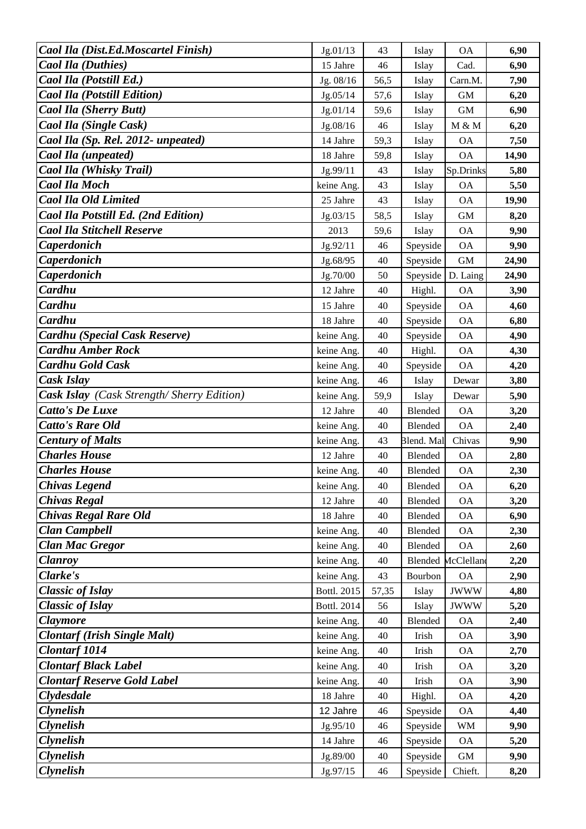| Caol Ila (Dist.Ed.Moscartel Finish)       | Jg.01/13    | 43    | Islay      | <b>OA</b>   | 6,90  |
|-------------------------------------------|-------------|-------|------------|-------------|-------|
| <b>Caol Ila (Duthies)</b>                 | 15 Jahre    | 46    | Islay      | Cad.        | 6,90  |
| Caol Ila (Potstill Ed.)                   | Jg. 08/16   | 56,5  | Islay      | Carn.M.     | 7,90  |
| <b>Caol Ila (Potstill Edition)</b>        | Jg.05/14    | 57,6  | Islay      | <b>GM</b>   | 6,20  |
| <b>Caol Ila (Sherry Butt)</b>             | Jg.01/14    | 59,6  | Islay      | <b>GM</b>   | 6,90  |
| Caol Ila (Single Cask)                    | Jg.08/16    | 46    | Islay      | M & M       | 6,20  |
| Caol Ila (Sp. Rel. 2012- unpeated)        | 14 Jahre    | 59,3  | Islay      | <b>OA</b>   | 7,50  |
| Caol Ila (unpeated)                       | 18 Jahre    | 59,8  | Islay      | <b>OA</b>   | 14,90 |
| Caol Ila (Whisky Trail)                   | Jg.99/11    | 43    | Islay      | Sp.Drinks   | 5,80  |
| <b>Caol Ila Moch</b>                      | keine Ang.  | 43    | Islay      | <b>OA</b>   | 5,50  |
| <b>Caol Ila Old Limited</b>               | 25 Jahre    | 43    | Islay      | <b>OA</b>   | 19,90 |
| Caol Ila Potstill Ed. (2nd Edition)       | Jg.03/15    | 58,5  | Islay      | <b>GM</b>   | 8,20  |
| <b>Caol Ila Stitchell Reserve</b>         | 2013        | 59,6  | Islay      | <b>OA</b>   | 9,90  |
| <b>Caperdonich</b>                        | Jg.92/11    | 46    | Speyside   | <b>OA</b>   | 9,90  |
| <b>Caperdonich</b>                        | Jg.68/95    | 40    | Speyside   | <b>GM</b>   | 24,90 |
| Caperdonich                               | Jg.70/00    | 50    | Speyside   | D. Laing    | 24,90 |
| Cardhu                                    | 12 Jahre    | 40    | Highl.     | <b>OA</b>   | 3,90  |
| Cardhu                                    | 15 Jahre    | 40    | Speyside   | <b>OA</b>   | 4,60  |
| Cardhu                                    | 18 Jahre    | 40    | Speyside   | <b>OA</b>   | 6,80  |
| Cardhu (Special Cask Reserve)             | keine Ang.  | 40    | Speyside   | <b>OA</b>   | 4,90  |
| <b>Cardhu Amber Rock</b>                  | keine Ang.  | 40    | Highl.     | <b>OA</b>   | 4,30  |
| <b>Cardhu Gold Cask</b>                   | keine Ang.  | 40    | Speyside   | <b>OA</b>   | 4,20  |
| Cask Islay                                | keine Ang.  | 46    | Islay      | Dewar       | 3,80  |
| Cask Islay (Cask Strength/Sherry Edition) | keine Ang.  | 59,9  | Islay      | Dewar       | 5,90  |
| <b>Catto's De Luxe</b>                    | 12 Jahre    | 40    | Blended    | <b>OA</b>   | 3,20  |
| <b>Catto's Rare Old</b>                   | keine Ang.  | 40    | Blended    | <b>OA</b>   | 2,40  |
| <b>Century of Malts</b>                   | keine Ang.  | 43    | Blend. Mal | Chivas      | 9,90  |
| <b>Charles House</b>                      | 12 Jahre    | 40    | Blended    | <b>OA</b>   | 2,80  |
| <b>Charles House</b>                      | keine Ang.  | 40    | Blended    | <b>OA</b>   | 2,30  |
| <b>Chivas Legend</b>                      | keine Ang.  | 40    | Blended    | <b>OA</b>   | 6,20  |
| <b>Chivas Regal</b>                       | 12 Jahre    | 40    | Blended    | <b>OA</b>   | 3,20  |
| <b>Chivas Regal Rare Old</b>              | 18 Jahre    | 40    | Blended    | <b>OA</b>   | 6,90  |
| <b>Clan Campbell</b>                      | keine Ang.  | 40    | Blended    | <b>OA</b>   | 2,30  |
| <b>Clan Mac Gregor</b>                    | keine Ang.  | 40    | Blended    | <b>OA</b>   | 2,60  |
| <b>Clanroy</b>                            | keine Ang.  | 40    | Blended    | McClelland  | 2,20  |
| Clarke's                                  | keine Ang.  | 43    | Bourbon    | <b>OA</b>   | 2,90  |
| <b>Classic of Islay</b>                   | Bottl. 2015 | 57,35 | Islay      | <b>JWWW</b> | 4,80  |
| <b>Classic of Islay</b>                   | Bottl. 2014 | 56    | Islay      | <b>JWWW</b> | 5,20  |
| <b>Claymore</b>                           | keine Ang.  | 40    | Blended    | <b>OA</b>   | 2,40  |
| <b>Clontarf (Irish Single Malt)</b>       | keine Ang.  | 40    | Irish      | <b>OA</b>   | 3,90  |
| <b>Clontarf</b> 1014                      | keine Ang.  | 40    | Irish      | <b>OA</b>   | 2,70  |
| <b>Clontarf Black Label</b>               | keine Ang.  | 40    | Irish      | <b>OA</b>   | 3,20  |
| <b>Clontarf Reserve Gold Label</b>        | keine Ang.  | 40    | Irish      | <b>OA</b>   | 3,90  |
| Clydesdale                                | 18 Jahre    | 40    | Highl.     | <b>OA</b>   | 4,20  |
| <b>Clynelish</b>                          | 12 Jahre    | 46    | Speyside   | <b>OA</b>   | 4,40  |
| <b>Clynelish</b>                          | Jg.95/10    | 46    | Speyside   | WM          | 9,90  |
| <b>Clynelish</b>                          | 14 Jahre    | 46    | Speyside   | <b>OA</b>   | 5,20  |
| <b>Clynelish</b>                          | Jg.89/00    | 40    | Speyside   | $\mbox{GM}$ | 9,90  |
| <b>Clynelish</b>                          | Jg.97/15    | 46    | Speyside   | Chieft.     | 8,20  |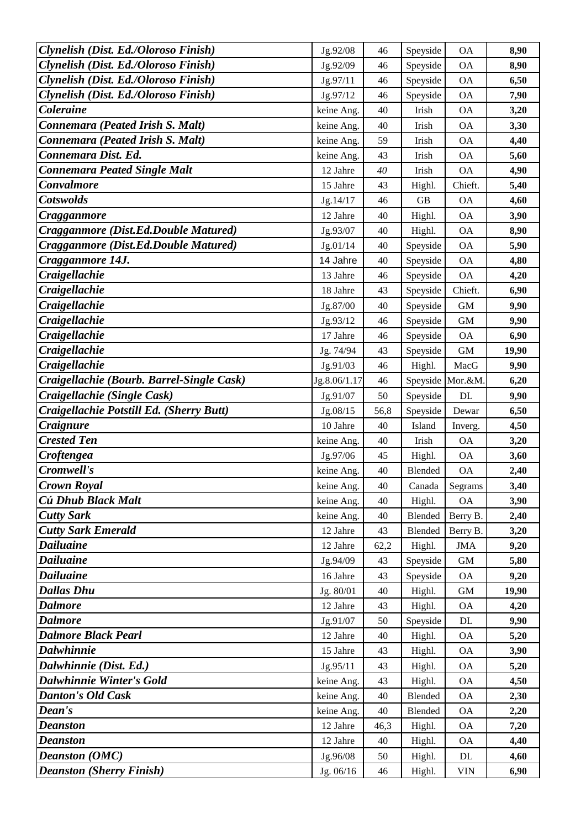| Clynelish (Dist. Ed./Oloroso Finish)                     | Jg.92/08              | 46       | Speyside         | <b>OA</b>       | 8,90         |
|----------------------------------------------------------|-----------------------|----------|------------------|-----------------|--------------|
| Clynelish (Dist. Ed./Oloroso Finish)                     | Jg.92/09              | 46       | Speyside         | <b>OA</b>       | 8,90         |
| Clynelish (Dist. Ed./Oloroso Finish)                     | Jg.97/11              | 46       | Speyside         | <b>OA</b>       | 6,50         |
| Clynelish (Dist. Ed./Oloroso Finish)                     | Jg.97/12              | 46       | Speyside         | <b>OA</b>       | 7,90         |
| <b>Coleraine</b>                                         | keine Ang.            | 40       | Irish            | <b>OA</b>       | 3,20         |
| Connemara (Peated Irish S. Malt)                         | keine Ang.            | 40       | Irish            | <b>OA</b>       | 3,30         |
| Connemara (Peated Irish S. Malt)                         | keine Ang.            | 59       | Irish            | <b>OA</b>       | 4,40         |
| Connemara Dist. Ed.                                      | keine Ang.            | 43       | Irish            | <b>OA</b>       | 5,60         |
| <b>Connemara Peated Single Malt</b>                      | 12 Jahre              | 40       | Irish            | <b>OA</b>       | 4,90         |
| <b>Convalmore</b>                                        | 15 Jahre              | 43       | Highl.           | Chieft.         | 5,40         |
| <b>Cotswolds</b>                                         | Jg.14/17              | 46       | GB               | <b>OA</b>       | 4,60         |
| Cragganmore                                              | 12 Jahre              | 40       | Highl.           | <b>OA</b>       | 3,90         |
| Cragganmore (Dist.Ed.Double Matured)                     | Jg.93/07              | 40       | Highl.           | <b>OA</b>       | 8,90         |
| Cragganmore (Dist.Ed.Double Matured)                     | Jg.01/14              | 40       | Speyside         | <b>OA</b>       | 5,90         |
| Cragganmore 14J.                                         | 14 Jahre              | 40       | Speyside         | <b>OA</b>       | 4,80         |
| <b>Craigellachie</b>                                     | 13 Jahre              | 46       | Speyside         | <b>OA</b>       | 4,20         |
| <b>Craigellachie</b>                                     | 18 Jahre              | 43       | Speyside         | Chieft.         | 6,90         |
| <b>Craigellachie</b>                                     | Jg.87/00              | 40       | Speyside         | <b>GM</b>       | 9,90         |
| Craigellachie                                            | Jg.93/12              | 46       | Speyside         | <b>GM</b>       | 9,90         |
| <b>Craigellachie</b>                                     | 17 Jahre              | 46       | Speyside         | <b>OA</b>       | 6,90         |
| Craigellachie                                            | Jg. 74/94             | 43       | Speyside         | <b>GM</b>       | 19,90        |
| Craigellachie                                            | Jg.91/03              | 46       | Highl.           | MacG            | 9,90         |
| Craigellachie (Bourb. Barrel-Single Cask)                | Jg.8.06/1.17          | 46       | Speyside         | Mor.&M          | 6,20         |
| Craigellachie (Single Cask)                              | Jg.91/07              | 50       | Speyside         | DL              | 9,90         |
| Craigellachie Potstill Ed. (Sherry Butt)                 | Jg.08/15              | 56,8     | Speyside         | Dewar           | 6,50         |
| <b>Craignure</b>                                         | 10 Jahre              | 40       | Island           | Inverg.         | 4,50         |
| <b>Crested Ten</b>                                       | keine Ang.            | 40       | Irish            | <b>OA</b>       | 3,20         |
| Croftengea                                               | Jg.97/06              | 45       | Highl.           | <b>OA</b>       | 3,60         |
| Cromwell's                                               | keine Ang.            | 40       | Blended          | <b>OA</b>       | 2,40         |
| <b>Crown Royal</b>                                       | keine Ang.            | 40       | Canada           | Segrams         |              |
| Cú Dhub Black Malt                                       |                       |          |                  |                 | 3,40         |
|                                                          | keine Ang.            | 40       | Highl.           | <b>OA</b>       | 3,90         |
| <b>Cutty Sark</b>                                        | keine Ang.            | 40       | Blended          | Berry B.        | 2,40         |
| <b>Cutty Sark Emerald</b>                                | 12 Jahre              | 43       | Blended          | Berry B.        | 3,20         |
| Dailuaine                                                | 12 Jahre              | 62,2     | Highl.           | <b>JMA</b>      | 9,20         |
| <b>Dailuaine</b>                                         | Jg.94/09              | 43       | Speyside         | <b>GM</b>       | 5,80         |
| Dailuaine                                                | 16 Jahre              | 43       | Speyside         | <b>OA</b>       | 9,20         |
| <b>Dallas Dhu</b>                                        | Jg. 80/01             | 40       | Highl.           | $\mbox{GM}$     | 19,90        |
| <b>Dalmore</b>                                           | 12 Jahre              | 43       | Highl.           | <b>OA</b>       | 4,20         |
| <b>Dalmore</b>                                           | Jg.91/07              | 50       | Speyside         | $\rm DL$        | 9,90         |
| <b>Dalmore Black Pearl</b>                               | 12 Jahre              | 40       | Highl.           | <b>OA</b>       | 5,20         |
| <b>Dalwhinnie</b>                                        | 15 Jahre              | 43       | Highl.           | <b>OA</b>       | 3,90         |
| Dalwhinnie (Dist. Ed.)                                   | Jg.95/11              | 43       | Highl.           | <b>OA</b>       | 5,20         |
| <b>Dalwhinnie Winter's Gold</b>                          | keine Ang.            | 43       | Highl.           | <b>OA</b>       | 4,50         |
| <b>Danton's Old Cask</b>                                 | keine Ang.            | 40       | Blended          | <b>OA</b>       | 2,30         |
| Dean's                                                   | keine Ang.            | 40       | Blended          | <b>OA</b>       | 2,20         |
| Deanston                                                 | 12 Jahre              | 46,3     | Highl.           | <b>OA</b>       | 7,20         |
| Deanston                                                 | 12 Jahre              | 40       | Highl.           | <b>OA</b>       | 4,40         |
| <b>Deanston (OMC)</b><br><b>Deanston (Sherry Finish)</b> | Jg.96/08<br>Jg. 06/16 | 50<br>46 | Highl.<br>Highl. | $\rm DL$<br>VIN | 4,60<br>6,90 |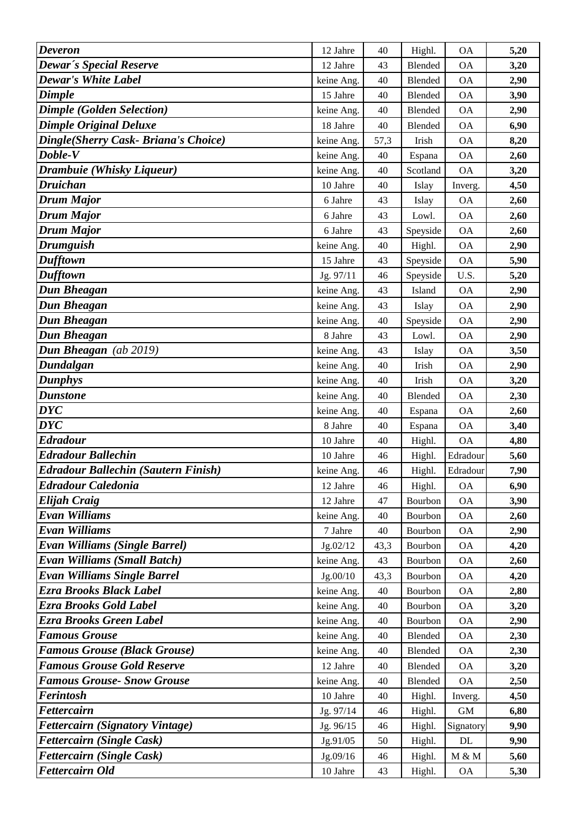| <b>Deveron</b>                             | 12 Jahre   | 40     | Highl.   | <b>OA</b>   | 5,20 |
|--------------------------------------------|------------|--------|----------|-------------|------|
| <b>Dewar's Special Reserve</b>             | 12 Jahre   | 43     | Blended  | <b>OA</b>   | 3,20 |
| <b>Dewar's White Label</b>                 | keine Ang. | 40     | Blended  | <b>OA</b>   | 2,90 |
| <b>Dimple</b>                              | 15 Jahre   | 40     | Blended  | <b>OA</b>   | 3,90 |
| <b>Dimple (Golden Selection)</b>           | keine Ang. | 40     | Blended  | <b>OA</b>   | 2,90 |
| <b>Dimple Original Deluxe</b>              | 18 Jahre   | 40     | Blended  | <b>OA</b>   | 6,90 |
| Dingle(Sherry Cask- Briana's Choice)       | keine Ang. | 57,3   | Irish    | <b>OA</b>   | 8,20 |
| Doble-V                                    | keine Ang. | 40     | Espana   | <b>OA</b>   | 2,60 |
| Drambuie (Whisky Liqueur)                  | keine Ang. | 40     | Scotland | <b>OA</b>   | 3,20 |
| <b>Druichan</b>                            | 10 Jahre   | 40     | Islay    | Inverg.     | 4,50 |
| Drum Major                                 | 6 Jahre    | 43     | Islay    | <b>OA</b>   | 2,60 |
| <b>Drum Major</b>                          | 6 Jahre    | 43     | Lowl.    | <b>OA</b>   | 2,60 |
| Drum Major                                 | 6 Jahre    | 43     | Speyside | <b>OA</b>   | 2,60 |
| <b>Drumguish</b>                           | keine Ang. | 40     | Highl.   | <b>OA</b>   | 2,90 |
| <b>Dufftown</b>                            | 15 Jahre   | 43     | Speyside | <b>OA</b>   | 5,90 |
| <b>Dufftown</b>                            | Jg. 97/11  | 46     | Speyside | U.S.        | 5,20 |
| Dun Bheagan                                | keine Ang. | 43     | Island   | <b>OA</b>   | 2,90 |
| Dun Bheagan                                | keine Ang. | 43     | Islay    | <b>OA</b>   | 2,90 |
| Dun Bheagan                                | keine Ang. | 40     | Speyside | <b>OA</b>   | 2,90 |
| Dun Bheagan                                | 8 Jahre    | 43     | Lowl.    | <b>OA</b>   | 2,90 |
| Dun Bheagan (ab 2019)                      | keine Ang. | 43     | Islay    | <b>OA</b>   | 3,50 |
| Dundalgan                                  | keine Ang. | 40     | Irish    | <b>OA</b>   | 2,90 |
| <b>Dunphys</b>                             | keine Ang. | 40     | Irish    | <b>OA</b>   | 3,20 |
| <b>Dunstone</b>                            | keine Ang. | 40     | Blended  | <b>OA</b>   | 2,30 |
| <b>DYC</b>                                 | keine Ang. | 40     | Espana   | <b>OA</b>   | 2,60 |
| <b>DYC</b>                                 | 8 Jahre    | 40     | Espana   | <b>OA</b>   | 3,40 |
| <b>Edradour</b>                            | 10 Jahre   | 40     | Highl.   | <b>OA</b>   | 4,80 |
| <b>Edradour Ballechin</b>                  | 10 Jahre   | 46     | Highl.   | Edradour    | 5,60 |
| <b>Edradour Ballechin (Sautern Finish)</b> | keine Ang. | 46     | Highl.   | Edradour    | 7,90 |
| Edradour Caledonia                         | 12 Jahre   | 46     | Highl.   | <b>OA</b>   | 6,90 |
| Elijah Craig                               | 12 Jahre   | 47     | Bourbon  | <b>OA</b>   | 3,90 |
| Evan Williams                              | keine Ang. | 40     | Bourbon  | <b>OA</b>   | 2,60 |
| Evan Williams                              | 7 Jahre    | 40     | Bourbon  | <b>OA</b>   | 2,90 |
| Evan Williams (Single Barrel)              | Jg.02/12   | 43,3   | Bourbon  | <b>OA</b>   | 4,20 |
| <b>Evan Williams (Small Batch)</b>         | keine Ang. | 43     | Bourbon  | <b>OA</b>   | 2,60 |
| <b>Evan Williams Single Barrel</b>         | Jg.00/10   | 43,3   | Bourbon  | <b>OA</b>   | 4,20 |
| Ezra Brooks Black Label                    | keine Ang. | 40     | Bourbon  | <b>OA</b>   | 2,80 |
| Ezra Brooks Gold Label                     | keine Ang. | 40     | Bourbon  | <b>OA</b>   | 3,20 |
| Ezra Brooks Green Label                    | keine Ang. | 40     | Bourbon  | <b>OA</b>   | 2,90 |
| <b>Famous Grouse</b>                       | keine Ang. | 40     | Blended  | <b>OA</b>   | 2,30 |
| <b>Famous Grouse (Black Grouse)</b>        | keine Ang. | 40     | Blended  | <b>OA</b>   | 2,30 |
| <b>Famous Grouse Gold Reserve</b>          | 12 Jahre   | 40     | Blended  | <b>OA</b>   | 3,20 |
| <b>Famous Grouse- Snow Grouse</b>          | keine Ang. | 40     | Blended  | <b>OA</b>   | 2,50 |
| Ferintosh                                  | 10 Jahre   | 40     | Highl.   | Inverg.     | 4,50 |
| <b>Fettercairn</b>                         | Jg. 97/14  | 46     | Highl.   | $\mbox{GM}$ | 6,80 |
| <b>Fettercairn (Signatory Vintage)</b>     | Jg. 96/15  | 46     | Highl.   | Signatory   | 9,90 |
| <b>Fettercairn (Single Cask)</b>           | Jg.91/05   | 50     | Highl.   | DL          | 9,90 |
| <b>Fettercairn (Single Cask)</b>           | Jg.09/16   | $46\,$ | Highl.   | $M \& M$    | 5,60 |
| <b>Fettercairn Old</b>                     | 10 Jahre   | 43     | Highl.   | <b>OA</b>   | 5,30 |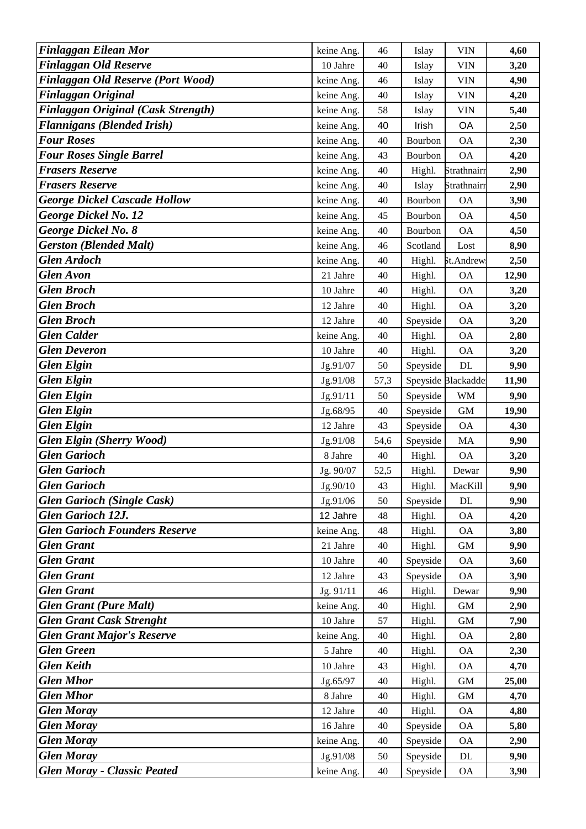| <b>Finlaggan Eilean Mor</b>            | keine Ang. | 46           | Islay    | <b>VIN</b>         | 4,60  |
|----------------------------------------|------------|--------------|----------|--------------------|-------|
| <b>Finlaggan Old Reserve</b>           | 10 Jahre   | 40           | Islay    | <b>VIN</b>         | 3,20  |
| Finlaggan Old Reserve (Port Wood)      | keine Ang. | 46           | Islay    | <b>VIN</b>         | 4,90  |
| Finlaggan Original                     | keine Ang. | 40           | Islay    | <b>VIN</b>         | 4,20  |
| Finlaggan Original (Cask Strength)     | keine Ang. | 58           | Islay    | <b>VIN</b>         | 5,40  |
| <b>Flannigans (Blended Irish)</b>      | keine Ang. | 40           | Irish    | OA                 | 2,50  |
| <b>Four Roses</b>                      | keine Ang. | 40           | Bourbon  | <b>OA</b>          | 2,30  |
| <b>Four Roses Single Barrel</b>        | keine Ang. | 43           | Bourbon  | <b>OA</b>          | 4,20  |
| <b>Frasers Reserve</b>                 | keine Ang. | 40           | Highl.   | Strathnairr        | 2,90  |
| <b>Frasers Reserve</b>                 | keine Ang. | 40           | Islay    | Strathnairr        | 2,90  |
| <b>George Dickel Cascade Hollow</b>    | keine Ang. | 40           | Bourbon  | <b>OA</b>          | 3,90  |
| <b>George Dickel No. 12</b>            | keine Ang. | 45           | Bourbon  | <b>OA</b>          | 4,50  |
| <b>George Dickel No. 8</b>             | keine Ang. | 40           | Bourbon  | <b>OA</b>          | 4,50  |
| <b>Gerston (Blended Malt)</b>          | keine Ang. | 46           | Scotland | Lost               | 8,90  |
| <b>Glen Ardoch</b>                     | keine Ang. | 40           | Highl.   | St.Andrew          | 2,50  |
| <b>Glen Avon</b>                       | 21 Jahre   | 40           | Highl.   | <b>OA</b>          | 12,90 |
| <b>Glen Broch</b>                      | 10 Jahre   | 40           | Highl.   | <b>OA</b>          | 3,20  |
| <b>Glen Broch</b>                      | 12 Jahre   | 40           | Highl.   | <b>OA</b>          | 3,20  |
| <b>Glen Broch</b>                      | 12 Jahre   | 40           | Speyside | <b>OA</b>          | 3,20  |
| <b>Glen Calder</b>                     | keine Ang. | 40           | Highl.   | <b>OA</b>          | 2,80  |
| <b>Glen Deveron</b>                    | 10 Jahre   | 40           | Highl.   | <b>OA</b>          | 3,20  |
| <b>Glen Elgin</b>                      | Jg.91/07   | 50           | Speyside | $\rm DL$           | 9,90  |
| <b>Glen Elgin</b>                      | Jg.91/08   | 57,3         |          | Speyside Blackadde | 11,90 |
| <b>Glen Elgin</b>                      | Jg.91/11   | 50           | Speyside | <b>WM</b>          | 9,90  |
| <b>Glen Elgin</b>                      | Jg.68/95   | $40\,$       | Speyside | $\mbox{GM}$        | 19,90 |
| <b>Glen Elgin</b>                      | 12 Jahre   | 43           | Speyside | <b>OA</b>          | 4,30  |
| <b>Glen Elgin (Sherry Wood)</b>        | Jg.91/08   | 54,6         | Speyside | MA                 | 9,90  |
| <b>Glen Garioch</b>                    | 8 Jahre    | 40           | Highl.   | <b>OA</b>          | 3,20  |
| <b>Glen Garioch</b>                    | Jg. 90/07  | 52,5         | Highl.   | Dewar              | 9,90  |
| <b>Glen Garioch</b>                    | Jg.90/10   | 43           | Highl.   | MacKill            | 9,90  |
| <b>Glen Garioch (Single Cask)</b>      | Jg.91/06   | 50           | Speyside | DL                 | 9,90  |
| <b>Glen Garioch 12J.</b>               | 12 Jahre   | 48           | Highl.   | <b>OA</b>          | 4,20  |
| <b>Glen Garioch Founders Reserve</b>   | keine Ang. | 48           | Highl.   | <b>OA</b>          | 3,80  |
| <b>Glen Grant</b>                      | 21 Jahre   | 40           | Highl.   | <b>GM</b>          | 9,90  |
| <b>Glen Grant</b>                      | 10 Jahre   | 40           | Speyside | <b>OA</b>          | 3,60  |
| <b>Glen Grant</b>                      | 12 Jahre   | 43           | Speyside | <b>OA</b>          | 3,90  |
| <b>Glen Grant</b>                      | Jg. 91/11  | 46           | Highl.   | Dewar              | 9,90  |
| <b>Glen Grant (Pure Malt)</b>          | keine Ang. | $40\,$       | Highl.   | $\mbox{GM}$        | 2,90  |
| <b>Glen Grant Cask Strenght</b>        | 10 Jahre   | 57           | Highl.   | <b>GM</b>          | 7,90  |
| <b>Glen Grant Major's Reserve</b>      | keine Ang. | 40           | Highl.   | <b>OA</b>          | 2,80  |
| <b>Glen Green</b>                      | 5 Jahre    | 40           | Highl.   | <b>OA</b>          | 2,30  |
| <b>Glen Keith</b><br><b>Glen Mhor</b>  | 10 Jahre   | 43           | Highl.   | <b>OA</b>          | 4,70  |
|                                        | Jg.65/97   | 40           | Highl.   | <b>GM</b>          | 25,00 |
| <b>Glen Mhor</b>                       | 8 Jahre    | 40           | Highl.   | $\,$ GM $\,$       | 4,70  |
| <b>Glen Moray</b>                      | 12 Jahre   | 40           | Highl.   | <b>OA</b>          | 4,80  |
| <b>Glen Moray</b><br><b>Glen Moray</b> | 16 Jahre   | 40           | Speyside | <b>OA</b>          | 5,80  |
| <b>Glen Moray</b>                      | keine Ang. | 40           | Speyside | <b>OA</b>          | 2,90  |
| <b>Glen Moray - Classic Peated</b>     | Jg.91/08   | 50<br>$40\,$ | Speyside | $\rm DL$           | 9,90  |
|                                        | keine Ang. |              | Speyside | <b>OA</b>          | 3,90  |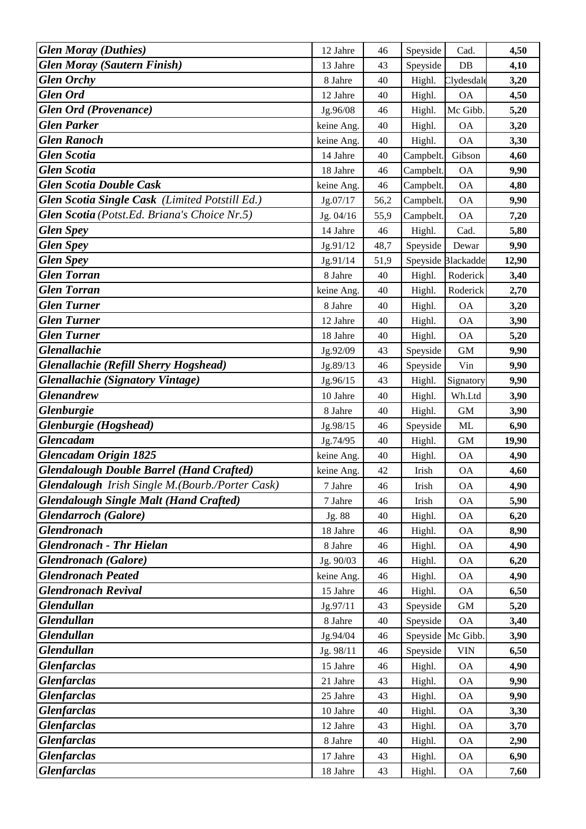| <b>Glen Moray (Duthies)</b>                     | 12 Jahre   | 46     | Speyside  | Cad.             | 4,50  |
|-------------------------------------------------|------------|--------|-----------|------------------|-------|
| <b>Glen Moray (Sautern Finish)</b>              | 13 Jahre   | 43     | Speyside  | DB               | 4,10  |
| <b>Glen Orchy</b>                               | 8 Jahre    | 40     | Highl.    | Clydesdale       | 3,20  |
| <b>Glen Ord</b>                                 | 12 Jahre   | 40     | Highl.    | <b>OA</b>        | 4,50  |
| <b>Glen Ord (Provenance)</b>                    | Jg.96/08   | 46     | Highl.    | Mc Gibb.         | 5,20  |
| <b>Glen Parker</b>                              | keine Ang. | 40     | Highl.    | <b>OA</b>        | 3,20  |
| <b>Glen Ranoch</b>                              | keine Ang. | 40     | Highl.    | <b>OA</b>        | 3,30  |
| <b>Glen Scotia</b>                              | 14 Jahre   | 40     | Campbelt  | Gibson           | 4,60  |
| <b>Glen Scotia</b>                              | 18 Jahre   | 46     | Campbelt. | <b>OA</b>        | 9,90  |
| <b>Glen Scotia Double Cask</b>                  | keine Ang. | 46     | Campbelt. | <b>OA</b>        | 4,80  |
| Glen Scotia Single Cask (Limited Potstill Ed.)  | Jg.07/17   | 56,2   | Campbelt. | <b>OA</b>        | 9,90  |
| Glen Scotia (Potst.Ed. Briana's Choice Nr.5)    | Jg. 04/16  | 55,9   | Campbelt. | <b>OA</b>        | 7,20  |
| <b>Glen Spey</b>                                | 14 Jahre   | 46     | Highl.    | Cad.             | 5,80  |
| <b>Glen Spey</b>                                | Jg.91/12   | 48,7   | Speyside  | Dewar            | 9,90  |
| <b>Glen Spey</b>                                | Jg.91/14   | 51,9   | Speyside  | <b>Blackadde</b> | 12,90 |
| <b>Glen Torran</b>                              | 8 Jahre    | 40     | Highl.    | Roderick         | 3,40  |
| <b>Glen Torran</b>                              | keine Ang. | $40\,$ | Highl.    | Roderick         | 2,70  |
| <b>Glen Turner</b>                              | 8 Jahre    | 40     | Highl.    | <b>OA</b>        | 3,20  |
| <b>Glen Turner</b>                              | 12 Jahre   | 40     | Highl.    | <b>OA</b>        | 3,90  |
| <b>Glen Turner</b>                              | 18 Jahre   | 40     | Highl.    | <b>OA</b>        | 5,20  |
| <b>Glenallachie</b>                             | Jg.92/09   | 43     | Speyside  | <b>GM</b>        | 9,90  |
| <b>Glenallachie (Refill Sherry Hogshead)</b>    | Jg.89/13   | 46     | Speyside  | Vin              | 9,90  |
| <b>Glenallachie (Signatory Vintage)</b>         | Jg.96/15   | 43     | Highl.    | Signatory        | 9,90  |
| <b>Glenandrew</b>                               | 10 Jahre   | 40     | Highl.    | Wh.Ltd           | 3,90  |
| <b>Glenburgie</b>                               | 8 Jahre    | 40     | Highl.    | GM               | 3,90  |
| Glenburgie (Hogshead)                           | Jg.98/15   | 46     | Speyside  | ML               | 6,90  |
| <b>Glencadam</b>                                | Jg.74/95   | 40     | Highl.    | <b>GM</b>        | 19,90 |
| Glencadam Origin 1825                           | keine Ang. | 40     | Highl.    | <b>OA</b>        | 4,90  |
| <b>Glendalough Double Barrel (Hand Crafted)</b> | keine Ang. | 42     | Irish     | <b>OA</b>        | 4,60  |
| Glendalough Irish Single M.(Bourb./Porter Cask) | 7 Jahre    | 46     | Irish     | ОA               | 4,90  |
| <b>Glendalough Single Malt (Hand Crafted)</b>   | 7 Jahre    | 46     | Irish     | <b>OA</b>        | 5,90  |
| <b>Glendarroch</b> (Galore)                     | Jg. 88     | 40     | Highl.    | <b>OA</b>        | 6,20  |
| <b>Glendronach</b>                              | 18 Jahre   | 46     | Highl.    | <b>OA</b>        | 8,90  |
| <b>Glendronach - Thr Hielan</b>                 | 8 Jahre    | 46     | Highl.    | <b>OA</b>        | 4,90  |
| <b>Glendronach</b> (Galore)                     | Jg. 90/03  | 46     | Highl.    | <b>OA</b>        | 6,20  |
| <b>Glendronach Peated</b>                       | keine Ang. | 46     | Highl.    | <b>OA</b>        | 4,90  |
| <b>Glendronach Revival</b>                      | 15 Jahre   | 46     | Highl.    | <b>OA</b>        | 6,50  |
| <b>Glendullan</b>                               | Jg.97/11   | 43     | Speyside  | $\,$ GM $\,$     | 5,20  |
| <b>Glendullan</b>                               | 8 Jahre    | $40\,$ | Speyside  | <b>OA</b>        | 3,40  |
| <b>Glendullan</b>                               | Jg.94/04   | 46     | Speyside  | Mc Gibb.         | 3,90  |
| <b>Glendullan</b>                               | Jg. 98/11  | 46     | Speyside  | <b>VIN</b>       | 6,50  |
| <b>Glenfarclas</b>                              | 15 Jahre   | 46     | Highl.    | <b>OA</b>        | 4,90  |
| <b>Glenfarclas</b>                              | 21 Jahre   | 43     | Highl.    | <b>OA</b>        | 9,90  |
| <b>Glenfarclas</b>                              | 25 Jahre   | 43     | Highl.    | <b>OA</b>        | 9,90  |
| <b>Glenfarclas</b>                              | 10 Jahre   | 40     | Highl.    | <b>OA</b>        | 3,30  |
| <b>Glenfarclas</b>                              | 12 Jahre   | 43     | Highl.    | <b>OA</b>        | 3,70  |
| <b>Glenfarclas</b>                              | 8 Jahre    | 40     | Highl.    | <b>OA</b>        | 2,90  |
| <b>Glenfarclas</b>                              | 17 Jahre   | 43     | Highl.    | $\mathsf{OA}$    | 6,90  |
| <b>Glenfarclas</b>                              | 18 Jahre   | 43     | Highl.    | <b>OA</b>        | 7,60  |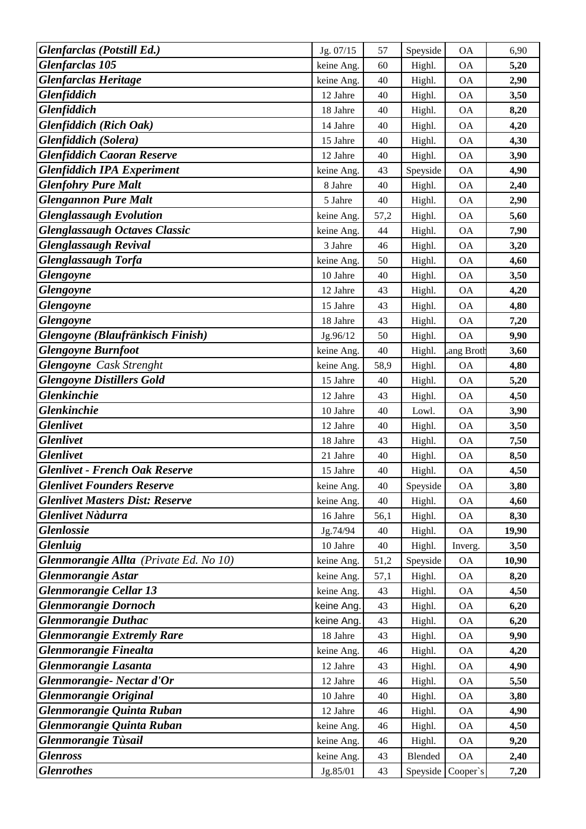| Glenfarclas (Potstill Ed.)                    | Jg. 07/15  | 57   | Speyside | <b>OA</b> | 6,90  |
|-----------------------------------------------|------------|------|----------|-----------|-------|
| Glenfarclas 105                               | keine Ang. | 60   | Highl.   | <b>OA</b> | 5,20  |
| <b>Glenfarclas Heritage</b>                   | keine Ang. | 40   | Highl.   | <b>OA</b> | 2,90  |
| <b>Glenfiddich</b>                            | 12 Jahre   | 40   | Highl.   | <b>OA</b> | 3,50  |
| Glenfiddich                                   | 18 Jahre   | 40   | Highl.   | <b>OA</b> | 8,20  |
| Glenfiddich (Rich Oak)                        | 14 Jahre   | 40   | Highl.   | <b>OA</b> | 4,20  |
| Glenfiddich (Solera)                          | 15 Jahre   | 40   | Highl.   | <b>OA</b> | 4,30  |
| <b>Glenfiddich Caoran Reserve</b>             | 12 Jahre   | 40   | Highl.   | <b>OA</b> | 3,90  |
| <b>Glenfiddich IPA Experiment</b>             | keine Ang. | 43   | Speyside | <b>OA</b> | 4,90  |
| <b>Glenfohry Pure Malt</b>                    | 8 Jahre    | 40   | Highl.   | <b>OA</b> | 2,40  |
| <b>Glengannon Pure Malt</b>                   | 5 Jahre    | 40   | Highl.   | <b>OA</b> | 2,90  |
| <b>Glenglassaugh Evolution</b>                | keine Ang. | 57,2 | Highl.   | <b>OA</b> | 5,60  |
| <b>Glenglassaugh Octaves Classic</b>          | keine Ang. | $44$ | Highl.   | <b>OA</b> | 7,90  |
| <b>Glenglassaugh Revival</b>                  | 3 Jahre    | 46   | Highl.   | <b>OA</b> | 3,20  |
| Glenglassaugh Torfa                           | keine Ang. | 50   | Highl.   | <b>OA</b> | 4,60  |
| <b>Glengoyne</b>                              | 10 Jahre   | 40   | Highl.   | <b>OA</b> | 3,50  |
| Glengoyne                                     | 12 Jahre   | 43   | Highl.   | <b>OA</b> | 4,20  |
| <b>Glengoyne</b>                              | 15 Jahre   | 43   | Highl.   | <b>OA</b> | 4,80  |
| <b>Glengoyne</b>                              | 18 Jahre   | 43   | Highl.   | <b>OA</b> | 7,20  |
| Glengoyne (Blaufränkisch Finish)              | Jg.96/12   | 50   | Highl.   | <b>OA</b> | 9,90  |
| <b>Glengoyne Burnfoot</b>                     | keine Ang. | 40   | Highl.   | ang Broth | 3,60  |
| <b>Glengoyne</b> Cask Strenght                | keine Ang. | 58,9 | Highl.   | <b>OA</b> | 4,80  |
| <b>Glengoyne Distillers Gold</b>              | 15 Jahre   | 40   | Highl.   | <b>OA</b> | 5,20  |
| <b>Glenkinchie</b>                            | 12 Jahre   | 43   | Highl.   | <b>OA</b> | 4,50  |
| <b>Glenkinchie</b>                            | 10 Jahre   | 40   | Lowl.    | <b>OA</b> | 3,90  |
| <b>Glenlivet</b>                              | 12 Jahre   | 40   | Highl.   | <b>OA</b> | 3,50  |
| <b>Glenlivet</b>                              | 18 Jahre   | 43   | Highl.   | <b>OA</b> | 7,50  |
| <b>Glenlivet</b>                              | 21 Jahre   | 40   | Highl.   | <b>OA</b> | 8,50  |
| <b>Glenlivet - French Oak Reserve</b>         | 15 Jahre   | 40   | Highl.   | <b>OA</b> | 4,50  |
| <b>Glenlivet Founders Reserve</b>             | keine Ang. | 40   | Speyside | ОA        | 3,80  |
| <b>Glenlivet Masters Dist: Reserve</b>        | keine Ang. | 40   | Highl.   | <b>OA</b> | 4,60  |
| <b>Glenlivet Nàdurra</b>                      | 16 Jahre   | 56,1 | Highl.   | <b>OA</b> | 8,30  |
| <b>Glenlossie</b>                             | Jg.74/94   | 40   | Highl.   | <b>OA</b> | 19,90 |
| <b>Glenluig</b>                               | 10 Jahre   | 40   | Highl.   | Inverg.   | 3,50  |
| Glenmorangie Allta (Private Ed. No 10)        | keine Ang. | 51,2 | Speyside | <b>OA</b> | 10,90 |
| <b>Glenmorangie Astar</b>                     | keine Ang. | 57,1 | Highl.   | <b>OA</b> | 8,20  |
| Glenmorangie Cellar 13                        | keine Ang. | 43   | Highl.   | <b>OA</b> | 4,50  |
| <b>Glenmorangie Dornoch</b>                   | keine Ang. | 43   | Highl.   | <b>OA</b> | 6,20  |
| <b>Glenmorangie Duthac</b>                    | keine Ang. | 43   | Highl.   | <b>OA</b> | 6,20  |
| <b>Glenmorangie Extremly Rare</b>             | 18 Jahre   | 43   | Highl.   | <b>OA</b> | 9,90  |
| <b>Glenmorangie Finealta</b>                  | keine Ang. | 46   | Highl.   | <b>OA</b> | 4,20  |
| Glenmorangie Lasanta                          | 12 Jahre   | 43   | Highl.   | <b>OA</b> | 4,90  |
| Glenmorangie-Nectar d'Or                      | 12 Jahre   | 46   | Highl.   | <b>OA</b> | 5,50  |
| <b>Glenmorangie Original</b>                  | 10 Jahre   | 40   | Highl.   | <b>OA</b> | 3,80  |
| Glenmorangie Quinta Ruban                     | 12 Jahre   | 46   | Highl.   | <b>OA</b> | 4,90  |
| Glenmorangie Quinta Ruban                     | keine Ang. | 46   | Highl.   | <b>OA</b> | 4,50  |
| <b>Glenmorangie Tùsail</b><br><b>Glenross</b> | keine Ang. | 46   | Highl.   | <b>OA</b> | 9,20  |
| <b>Glenrothes</b>                             | keine Ang. | 43   | Blended  | <b>OA</b> | 2,40  |
|                                               | Jg.85/01   | 43   | Speyside | Cooper's  | 7,20  |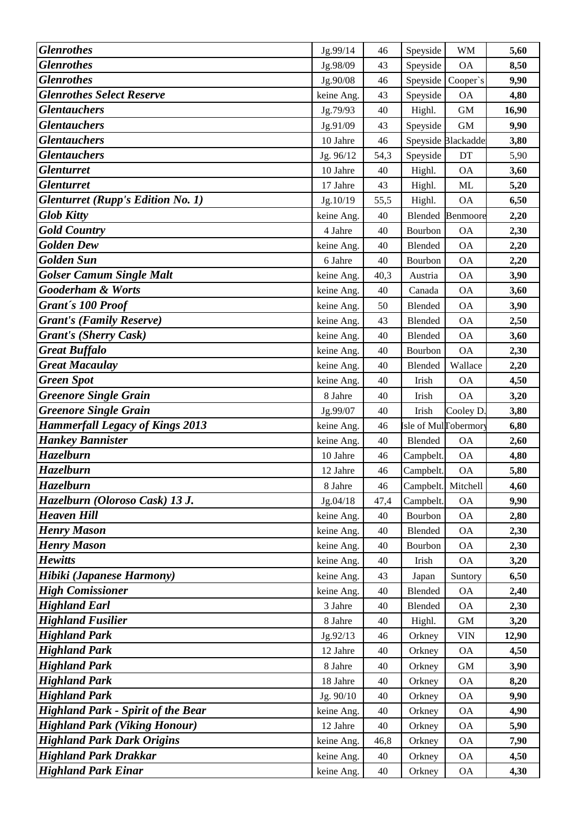| <b>Glenrothes</b>                                                         | Jg.99/14                 | 46         | Speyside            | <b>WM</b>              | 5,60         |
|---------------------------------------------------------------------------|--------------------------|------------|---------------------|------------------------|--------------|
| <b>Glenrothes</b>                                                         | Jg.98/09                 | 43         | Speyside            | <b>OA</b>              | 8,50         |
| <b>Glenrothes</b>                                                         | Jg.90/08                 | 46         | Speyside            | Cooper's               | 9,90         |
| <b>Glenrothes Select Reserve</b>                                          | keine Ang.               | 43         | Speyside            | <b>OA</b>              | 4,80         |
| <b>Glentauchers</b>                                                       | Jg.79/93                 | 40         | Highl.              | <b>GM</b>              | 16,90        |
| <b>Glentauchers</b>                                                       | Jg.91/09                 | 43         | Speyside            | <b>GM</b>              | 9,90         |
| <b>Glentauchers</b>                                                       | 10 Jahre                 | 46         |                     | Speyside Blackadde     | 3,80         |
| <b>Glentauchers</b>                                                       | Jg. 96/12                | 54,3       | Speyside            | DT                     | 5,90         |
| <b>Glenturret</b>                                                         | 10 Jahre                 | 40         | Highl.              | <b>OA</b>              | 3,60         |
| <b>Glenturret</b>                                                         | 17 Jahre                 | 43         | Highl.              | ML                     | 5,20         |
| <b>Glenturret (Rupp's Edition No. 1)</b>                                  | Jg.10/19                 | 55,5       | Highl.              | <b>OA</b>              | 6,50         |
| <b>Glob Kitty</b>                                                         | keine Ang.               | 40         | Blended             | Benmoore               | 2,20         |
| <b>Gold Country</b>                                                       | 4 Jahre                  | 40         | Bourbon             | <b>OA</b>              | 2,30         |
| <b>Golden Dew</b>                                                         | keine Ang.               | 40         | Blended             | <b>OA</b>              | 2,20         |
| <b>Golden Sun</b>                                                         | 6 Jahre                  | 40         | Bourbon             | <b>OA</b>              | 2,20         |
| <b>Golser Camum Single Malt</b>                                           | keine Ang.               | 40,3       | Austria             | <b>OA</b>              | 3,90         |
| <b>Gooderham &amp; Worts</b>                                              | keine Ang.               | 40         | Canada              | <b>OA</b>              | 3,60         |
| Grant's 100 Proof                                                         | keine Ang.               | 50         | Blended             | <b>OA</b>              | 3,90         |
| <b>Grant's (Family Reserve)</b>                                           | keine Ang.               | 43         | Blended             | <b>OA</b>              | 2,50         |
| <b>Grant's (Sherry Cask)</b>                                              | keine Ang.               | 40         | Blended             | <b>OA</b>              | 3,60         |
| <b>Great Buffalo</b>                                                      | keine Ang.               | 40         | Bourbon             | <b>OA</b>              | 2,30         |
| <b>Great Macaulay</b>                                                     | keine Ang.               | 40         | Blended             | Wallace                | 2,20         |
| <b>Green Spot</b>                                                         | keine Ang.               | 40         | Irish               | <b>OA</b>              | 4,50         |
| <b>Greenore Single Grain</b>                                              | 8 Jahre                  | 40         | Irish               | <b>OA</b>              | 3,20         |
| <b>Greenore Single Grain</b>                                              | Jg.99/07                 | 40         | Irish               | Cooley D               | 3,80         |
| <b>Hammerfall Legacy of Kings 2013</b>                                    | keine Ang.               | 46         | sle of MullTobermor |                        | 6,80         |
| <b>Hankey Bannister</b>                                                   | keine Ang.               | 40         | Blended             | <b>OA</b>              | 2,60         |
| <b>Hazelburn</b>                                                          | 10 Jahre                 | 46         | Campbelt.           | <b>OA</b>              | 4,80         |
| Hazelburn                                                                 | 12 Jahre                 | 46         | Campbelt.           | <b>OA</b>              | 5,80         |
| <b>Hazelburn</b>                                                          | 8 Jahre                  | 46         | Campbelt. Mitchell  |                        | 4,60         |
| Hazelburn (Oloroso Cask) 13 J.                                            | Jg.04/18                 | 47,4       | Campbelt.           | <b>OA</b>              | 9,90         |
| <b>Heaven Hill</b>                                                        | keine Ang.               | 40         | Bourbon             | <b>OA</b>              | 2,80         |
| <b>Henry Mason</b>                                                        | keine Ang.               | 40         | Blended             | <b>OA</b>              | 2,30         |
| <b>Henry Mason</b>                                                        | keine Ang.               | 40         | Bourbon             | <b>OA</b>              | 2,30         |
| <b>Hewitts</b>                                                            | keine Ang.               | 40         | Irish               | <b>OA</b>              | 3,20         |
| Hibiki (Japanese Harmony)                                                 | keine Ang.               | 43         | Japan               | Suntory                | 6,50         |
| <b>High Comissioner</b>                                                   | keine Ang.               | 40         | Blended             | <b>OA</b>              | 2,40         |
| <b>Highland Earl</b>                                                      | 3 Jahre                  | 40         | Blended             | <b>OA</b>              | 2,30         |
| <b>Highland Fusilier</b>                                                  | 8 Jahre                  | 40         | Highl.              | $\,$ GM $\,$           | 3,20         |
| <b>Highland Park</b>                                                      | Jg.92/13                 | 46         | Orkney              | <b>VIN</b>             | 12,90        |
| <b>Highland Park</b>                                                      | 12 Jahre                 | 40         | Orkney              | <b>OA</b>              | 4,50         |
| <b>Highland Park</b>                                                      | 8 Jahre                  | 40         | Orkney              | <b>GM</b>              | 3,90         |
| <b>Highland Park</b>                                                      | 18 Jahre                 | 40         | Orkney              | <b>OA</b>              | 8,20         |
| <b>Highland Park</b>                                                      | Jg. 90/10                | 40         | Orkney              | <b>OA</b>              | 9,90         |
| <b>Highland Park - Spirit of the Bear</b>                                 | keine Ang.               | 40         | Orkney              | <b>OA</b>              | 4,90         |
| <b>Highland Park (Viking Honour)</b><br><b>Highland Park Dark Origins</b> | 12 Jahre                 | 40         | Orkney              | <b>OA</b>              | 5,90         |
| Highland Park Drakkar                                                     | keine Ang.               | 46,8<br>40 | Orkney              | <b>OA</b>              | 7,90         |
| <b>Highland Park Einar</b>                                                | keine Ang.<br>keine Ang. | 40         | Orkney<br>Orkney    | <b>OA</b><br><b>OA</b> | 4,50<br>4,30 |
|                                                                           |                          |            |                     |                        |              |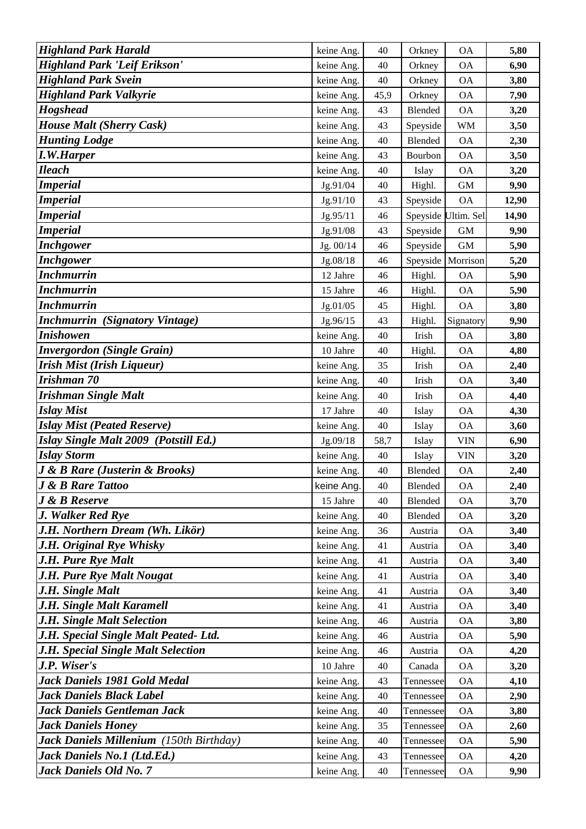| <b>Highland Park Harald</b>                          | keine Ang.               | 40       | Orkney             | <b>OA</b>              | 5,80         |
|------------------------------------------------------|--------------------------|----------|--------------------|------------------------|--------------|
| <b>Highland Park 'Leif Erikson'</b>                  | keine Ang.               | 40       | Orkney             | <b>OA</b>              | 6,90         |
| <b>Highland Park Svein</b>                           | keine Ang.               | $40\,$   | Orkney             | <b>OA</b>              | 3,80         |
| <b>Highland Park Valkyrie</b>                        | keine Ang.               | 45,9     | Orkney             | <b>OA</b>              | 7,90         |
| <b>Hogshead</b>                                      | keine Ang.               | 43       | Blended            | <b>OA</b>              | 3,20         |
| <b>House Malt (Sherry Cask)</b>                      | keine Ang.               | 43       | Speyside           | <b>WM</b>              | 3,50         |
| <b>Hunting Lodge</b>                                 | keine Ang.               | 40       | Blended            | <b>OA</b>              | 2,30         |
| <b>I.W.Harper</b>                                    | keine Ang.               | 43       | Bourbon            | <b>OA</b>              | 3,50         |
| <b>Ileach</b>                                        | keine Ang.               | 40       | Islay              | <b>OA</b>              | 3,20         |
| <b>Imperial</b>                                      | Jg.91/04                 | 40       | Highl.             | <b>GM</b>              | 9,90         |
| <b>Imperial</b>                                      | Jg.91/10                 | 43       | Speyside           | <b>OA</b>              | 12,90        |
| <b>Imperial</b>                                      | Jg.95/11                 | 46       |                    | Speyside Ultim. Sel    | 14,90        |
| <b>Imperial</b>                                      | Jg.91/08                 | 43       | Speyside           | <b>GM</b>              | 9,90         |
| <b>Inchgower</b>                                     | Jg. 00/14                | 46       | Speyside           | $\,$ GM $\,$           | 5,90         |
| <b>Inchgower</b>                                     | Jg.08/18                 | 46       | Speyside           | Morrison               | 5,20         |
| <b>Inchmurrin</b>                                    | 12 Jahre                 | 46       | Highl.             | <b>OA</b>              | 5,90         |
| <b>Inchmurrin</b>                                    | 15 Jahre                 | 46       | Highl.             | <b>OA</b>              | 5,90         |
| <b>Inchmurrin</b>                                    | Jg.01/05                 | 45       | Highl.             | <b>OA</b>              | 3,80         |
| <b>Inchmurrin</b> (Signatory Vintage)                | Jg.96/15                 | 43       | Highl.             | Signatory              | 9,90         |
| <b>Inishowen</b>                                     | keine Ang.               | 40       | Irish              | <b>OA</b>              | 3,80         |
| <b>Invergordon</b> (Single Grain)                    | 10 Jahre                 | 40       | Highl.             | <b>OA</b>              | 4,80         |
| <b>Irish Mist (Irish Liqueur)</b>                    | keine Ang.               | 35       | Irish              | <b>OA</b>              | 2,40         |
| Irishman 70                                          | keine Ang.               | 40       | Irish              | <b>OA</b>              | 3,40         |
| <b>Irishman Single Malt</b>                          | keine Ang.               | 40       | Irish              | <b>OA</b>              | 4,40         |
| <b>Islay Mist</b>                                    | 17 Jahre                 | 40       | Islay              | <b>OA</b>              | 4,30         |
| <b>Islay Mist (Peated Reserve)</b>                   | keine Ang.               | 40       | Islay              | <b>OA</b>              | 3,60         |
| Islay Single Malt 2009 (Potstill Ed.)                | Jg.09/18                 | 58,7     | Islay              | <b>VIN</b>             | 6,90         |
| <b>Islay Storm</b>                                   | keine Ang.               | 40       | Islay              | <b>VIN</b>             | 3,20         |
| <b>J &amp; B Rare (Justerin &amp; Brooks)</b>        | keine Ang.               | $40\,$   | Blended            | <b>OA</b>              | 2,40         |
| <b>J &amp; B Rare Tattoo</b>                         | keine Ang.               | 40       | Blended            | OA                     | 2,40         |
| <b>J</b> & B Reserve                                 | 15 Jahre                 | 40       | <b>Blended</b>     | <b>OA</b>              | 3,70         |
| J. Walker Red Rye                                    | keine Ang.               | 40       | Blended            | <b>OA</b>              | 3,20         |
| J.H. Northern Dream (Wh. Likör)                      | keine Ang.               | 36       | Austria            | <b>OA</b>              | 3,40         |
| J.H. Original Rye Whisky                             | keine Ang.               | 41       | Austria            | <b>OA</b>              | 3,40         |
| J.H. Pure Rye Malt                                   | keine Ang.               | 41       | Austria            | <b>OA</b>              | 3,40         |
| <b>J.H. Pure Rye Malt Nougat</b><br>J.H. Single Malt | keine Ang.               | 41       | Austria            | <b>OA</b>              | 3,40         |
| J.H. Single Malt Karamell                            | keine Ang.               | 41<br>41 | Austria            | <b>OA</b><br><b>OA</b> | 3,40         |
| J.H. Single Malt Selection                           | keine Ang.<br>keine Ang. | 46       | Austria<br>Austria | <b>OA</b>              | 3,40<br>3,80 |
| J.H. Special Single Malt Peated- Ltd.                | keine Ang.               | 46       | Austria            | <b>OA</b>              | 5,90         |
| J.H. Special Single Malt Selection                   | keine Ang.               | 46       | Austria            | <b>OA</b>              | 4,20         |
| J.P. Wiser's                                         | 10 Jahre                 | 40       | Canada             | <b>OA</b>              | 3,20         |
| Jack Daniels 1981 Gold Medal                         | keine Ang.               | 43       | Tennessee          | <b>OA</b>              | 4,10         |
| <b>Jack Daniels Black Label</b>                      | keine Ang.               | 40       | Tennessee          | <b>OA</b>              | 2,90         |
| Jack Daniels Gentleman Jack                          | keine Ang.               | 40       | Tennessee          | <b>OA</b>              | 3,80         |
| <b>Jack Daniels Honey</b>                            | keine Ang.               | 35       | Tennessee          | <b>OA</b>              | 2,60         |
| <b>Jack Daniels Millenium</b> (150th Birthday)       | keine Ang.               | 40       | Tennessee          | <b>OA</b>              | 5,90         |
| Jack Daniels No.1 (Ltd.Ed.)                          | keine Ang.               | 43       | Tennessee          | <b>OA</b>              | 4,20         |
| Jack Daniels Old No. 7                               | keine Ang.               | 40       | Tennessee          | <b>OA</b>              | 9,90         |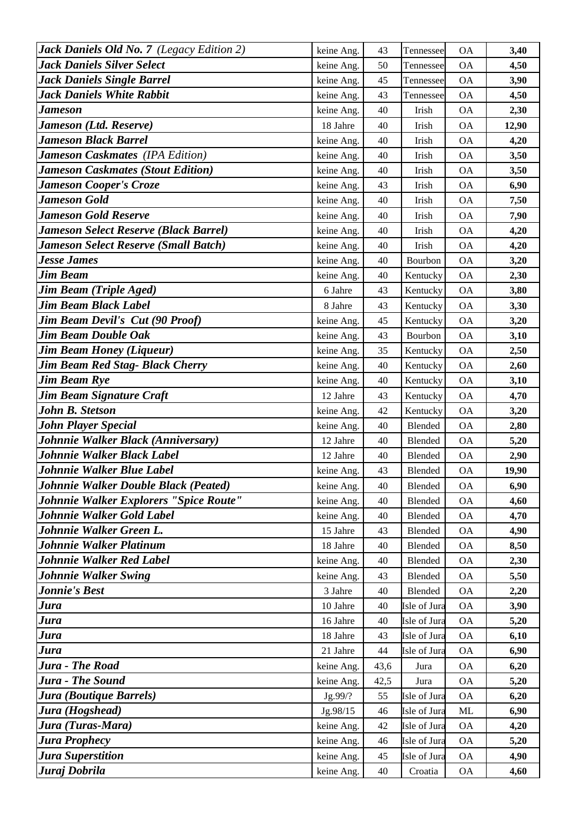| Jack Daniels Old No. 7 (Legacy Edition 2)    | keine Ang. | 43   | Tennessee    | <b>OA</b> | 3,40  |
|----------------------------------------------|------------|------|--------------|-----------|-------|
| Jack Daniels Silver Select                   | keine Ang. | 50   | Tennessee    | <b>OA</b> | 4,50  |
| Jack Daniels Single Barrel                   | keine Ang. | 45   | Tennessee    | <b>OA</b> | 3,90  |
| <b>Jack Daniels White Rabbit</b>             | keine Ang. | 43   | Tennessee    | <b>OA</b> | 4,50  |
| Jameson                                      | keine Ang. | 40   | Irish        | <b>OA</b> | 2,30  |
| Jameson (Ltd. Reserve)                       | 18 Jahre   | 40   | Irish        | <b>OA</b> | 12,90 |
| Jameson Black Barrel                         | keine Ang. | 40   | Irish        | <b>OA</b> | 4,20  |
| <b>Jameson Caskmates (IPA Edition)</b>       | keine Ang. | 40   | Irish        | <b>OA</b> | 3,50  |
| <b>Jameson Caskmates (Stout Edition)</b>     | keine Ang. | 40   | Irish        | <b>OA</b> | 3,50  |
| <b>Jameson Cooper's Croze</b>                | keine Ang. | 43   | Irish        | <b>OA</b> | 6,90  |
| <b>Jameson Gold</b>                          | keine Ang. | 40   | Irish        | <b>OA</b> | 7,50  |
| <b>Jameson Gold Reserve</b>                  | keine Ang. | 40   | Irish        | <b>OA</b> | 7,90  |
| <b>Jameson Select Reserve (Black Barrel)</b> | keine Ang. | 40   | Irish        | <b>OA</b> | 4,20  |
| <b>Jameson Select Reserve (Small Batch)</b>  | keine Ang. | 40   | Irish        | <b>OA</b> | 4,20  |
| <b>Jesse James</b>                           | keine Ang. | 40   | Bourbon      | <b>OA</b> | 3,20  |
| <b>Jim Beam</b>                              | keine Ang. | 40   | Kentucky     | <b>OA</b> | 2,30  |
| Jim Beam (Triple Aged)                       | 6 Jahre    | 43   | Kentucky     | <b>OA</b> | 3,80  |
| <b>Jim Beam Black Label</b>                  | 8 Jahre    | 43   | Kentucky     | <b>OA</b> | 3,30  |
| <b>Jim Beam Devil's Cut (90 Proof)</b>       | keine Ang. | 45   | Kentucky     | <b>OA</b> | 3,20  |
| <b>Jim Beam Double Oak</b>                   | keine Ang. | 43   | Bourbon      | <b>OA</b> | 3,10  |
| <b>Jim Beam Honey (Liqueur)</b>              | keine Ang. | 35   | Kentucky     | <b>OA</b> | 2,50  |
| Jim Beam Red Stag- Black Cherry              | keine Ang. | 40   | Kentucky     | <b>OA</b> | 2,60  |
| <b>Jim Beam Rye</b>                          | keine Ang. | 40   | Kentucky     | <b>OA</b> | 3,10  |
| Jim Beam Signature Craft                     | 12 Jahre   | 43   | Kentucky     | <b>OA</b> | 4,70  |
| <b>John B. Stetson</b>                       | keine Ang. | 42   | Kentucky     | <b>OA</b> | 3,20  |
| <b>John Player Special</b>                   | keine Ang. | 40   | Blended      | <b>OA</b> | 2,80  |
| Johnnie Walker Black (Anniversary)           | 12 Jahre   | 40   | Blended      | <b>OA</b> | 5,20  |
| Johnnie Walker Black Label                   | 12 Jahre   | 40   | Blended      | <b>OA</b> | 2,90  |
| Johnnie Walker Blue Label                    | keine Ang. | 43   | Blended      | <b>OA</b> | 19,90 |
| Johnnie Walker Double Black (Peated)         | keine Ang. | 40   | Blended      | ОA        | 6,90  |
| Johnnie Walker Explorers "Spice Route"       | keine Ang. | 40   | Blended      | <b>OA</b> | 4,60  |
| Johnnie Walker Gold Label                    | keine Ang. | 40   | Blended      | <b>OA</b> | 4,70  |
| Johnnie Walker Green L.                      | 15 Jahre   | 43   | Blended      | <b>OA</b> | 4,90  |
| Johnnie Walker Platinum                      | 18 Jahre   | 40   | Blended      | <b>OA</b> | 8,50  |
| Johnnie Walker Red Label                     | keine Ang. | 40   | Blended      | <b>OA</b> | 2,30  |
| <b>Johnnie Walker Swing</b>                  | keine Ang. | 43   | Blended      | <b>OA</b> | 5,50  |
| <b>Jonnie's Best</b>                         | 3 Jahre    | 40   | Blended      | <b>OA</b> | 2,20  |
| Jura                                         | 10 Jahre   | 40   | Isle of Jura | <b>OA</b> | 3,90  |
| Jura                                         | 16 Jahre   | 40   | Isle of Jura | <b>OA</b> | 5,20  |
| Jura                                         | 18 Jahre   | 43   | Isle of Jura | <b>OA</b> | 6,10  |
| Jura                                         | 21 Jahre   | 44   | Isle of Jura | <b>OA</b> | 6,90  |
| Jura - The Road                              | keine Ang. | 43,6 | Jura         | <b>OA</b> | 6,20  |
| Jura - The Sound                             | keine Ang. | 42,5 | Jura         | <b>OA</b> | 5,20  |
| Jura (Boutique Barrels)                      | Jg.99/?    | 55   | Isle of Jura | <b>OA</b> | 6,20  |
| Jura (Hogshead)                              | Jg.98/15   | 46   | Isle of Jura | ML        | 6,90  |
| Jura (Turas-Mara)                            | keine Ang. | 42   | Isle of Jura | <b>OA</b> | 4,20  |
| <b>Jura Prophecy</b>                         | keine Ang. | 46   | Isle of Jura | <b>OA</b> | 5,20  |
| Jura Superstition                            | keine Ang. | 45   | Isle of Jura | <b>OA</b> | 4,90  |
| Juraj Dobrila                                | keine Ang. | 40   | Croatia      | <b>OA</b> | 4,60  |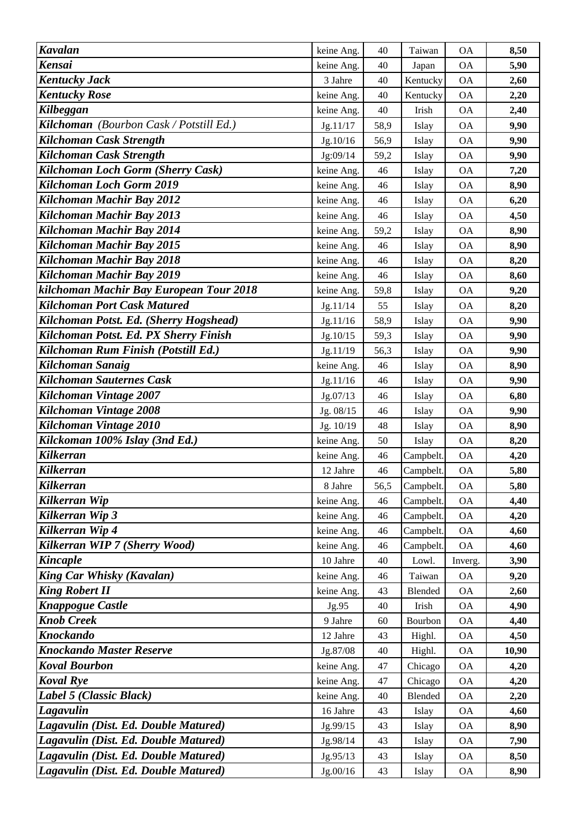| <b>Kavalan</b>                                            | keine Ang.       | 40       | Taiwan            | <b>OA</b>              | 8,50         |
|-----------------------------------------------------------|------------------|----------|-------------------|------------------------|--------------|
| Kensai                                                    | keine Ang.       | 40       | Japan             | <b>OA</b>              | 5,90         |
| <b>Kentucky Jack</b>                                      | 3 Jahre          | 40       | Kentucky          | <b>OA</b>              | 2,60         |
| <b>Kentucky Rose</b>                                      | keine Ang.       | 40       | Kentucky          | <b>OA</b>              | 2,20         |
| Kilbeggan                                                 | keine Ang.       | 40       | Irish             | <b>OA</b>              | 2,40         |
| Kilchoman (Bourbon Cask / Potstill Ed.)                   | Jg.11/17         | 58,9     | Islay             | <b>OA</b>              | 9,90         |
| Kilchoman Cask Strength                                   | Jg.10/16         | 56,9     | Islay             | <b>OA</b>              | 9,90         |
| Kilchoman Cask Strength                                   | Jg:09/14         | 59,2     | Islay             | <b>OA</b>              | 9,90         |
| Kilchoman Loch Gorm (Sherry Cask)                         | keine Ang.       | 46       | Islay             | <b>OA</b>              | 7,20         |
| Kilchoman Loch Gorm 2019                                  | keine Ang.       | 46       | Islay             | <b>OA</b>              | 8,90         |
| Kilchoman Machir Bay 2012                                 | keine Ang.       | 46       | Islay             | <b>OA</b>              | 6,20         |
| Kilchoman Machir Bay 2013                                 | keine Ang.       | 46       | Islay             | <b>OA</b>              | 4,50         |
| Kilchoman Machir Bay 2014                                 | keine Ang.       | 59,2     | Islay             | <b>OA</b>              | 8,90         |
| Kilchoman Machir Bay 2015                                 | keine Ang.       | 46       | Islay             | <b>OA</b>              | 8,90         |
| Kilchoman Machir Bay 2018                                 | keine Ang.       | 46       | Islay             | <b>OA</b>              | 8,20         |
| Kilchoman Machir Bay 2019                                 | keine Ang.       | 46       | Islay             | <b>OA</b>              | 8,60         |
| kilchoman Machir Bay European Tour 2018                   | keine Ang.       | 59,8     | Islay             | <b>OA</b>              | 9,20         |
| <b>Kilchoman Port Cask Matured</b>                        | Jg.11/14         | 55       | Islay             | <b>OA</b>              | 8,20         |
| Kilchoman Potst. Ed. (Sherry Hogshead)                    | Jg.11/16         | 58,9     | Islay             | <b>OA</b>              | 9,90         |
| Kilchoman Potst. Ed. PX Sherry Finish                     | Jg.10/15         | 59,3     | Islay             | <b>OA</b>              | 9,90         |
| Kilchoman Rum Finish (Potstill Ed.)                       | Jg.11/19         | 56,3     | Islay             | <b>OA</b>              | 9,90         |
| Kilchoman Sanaig                                          | keine Ang.       | 46       | Islay             | <b>OA</b>              | 8,90         |
| Kilchoman Sauternes Cask                                  | Jg.11/16         | 46       | Islay             | <b>OA</b>              | 9,90         |
| Kilchoman Vintage 2007                                    | Jg.07/13         | 46       | Islay             | <b>OA</b>              | 6,80         |
| Kilchoman Vintage 2008                                    | Jg. 08/15        | 46       | Islay             | <b>OA</b>              | 9,90         |
| Kilchoman Vintage 2010                                    | Jg. 10/19        | 48       | Islay             | <b>OA</b>              | 8,90         |
| Kilckoman 100% Islay (3nd Ed.)                            | keine Ang.       | 50       | Islay             | <b>OA</b>              | 8,20         |
| <b>Kilkerran</b>                                          | keine Ang.       | 46       | Campbelt.         | <b>OA</b>              | 4,20         |
| <b>Kilkerran</b>                                          | 12 Jahre         | 46       | Campbelt.         | <b>OA</b>              | 5,80         |
| <b>Kilkerran</b>                                          | 8 Jahre          | 56,5     | Campbelt.         | ОA                     | 5,80         |
| Kilkerran Wip                                             | keine Ang.       | 46       | Campbelt.         | <b>OA</b>              | 4,40         |
| Kilkerran Wip 3                                           | keine Ang.       | 46       | Campbelt.         | <b>OA</b>              | 4,20         |
| Kilkerran Wip 4                                           | keine Ang.       | 46       | Campbelt.         | <b>OA</b>              | 4,60         |
| Kilkerran WIP 7 (Sherry Wood)                             | keine Ang.       | 46       | Campbelt.         | <b>OA</b>              | 4,60         |
| <b>Kincaple</b>                                           | 10 Jahre         | 40       | Lowl.             | Inverg.                | 3,90         |
| <b>King Car Whisky (Kavalan)</b><br><b>King Robert II</b> | keine Ang.       | 46<br>43 | Taiwan<br>Blended | <b>OA</b>              | 9,20         |
| <b>Knappogue Castle</b>                                   | keine Ang.       | 40       | Irish             | <b>OA</b><br><b>OA</b> | 2,60<br>4,90 |
| <b>Knob Creek</b>                                         | Jg.95<br>9 Jahre | 60       | Bourbon           | <b>OA</b>              | 4,40         |
| <b>Knockando</b>                                          | 12 Jahre         | 43       | Highl.            | <b>OA</b>              | 4,50         |
| <b>Knockando Master Reserve</b>                           | Jg.87/08         | 40       | Highl.            | <b>OA</b>              | 10,90        |
| <b>Koval Bourbon</b>                                      | keine Ang.       | 47       | Chicago           | <b>OA</b>              | 4,20         |
| <b>Koval Rye</b>                                          | keine Ang.       | 47       | Chicago           | <b>OA</b>              | 4,20         |
| Label 5 (Classic Black)                                   | keine Ang.       | 40       | Blended           | <b>OA</b>              | 2,20         |
| Lagavulin                                                 | 16 Jahre         | 43       | Islay             | <b>OA</b>              | 4,60         |
| Lagavulin (Dist. Ed. Double Matured)                      | Jg.99/15         | 43       | Islay             | <b>OA</b>              | 8,90         |
| Lagavulin (Dist. Ed. Double Matured)                      | Jg.98/14         | 43       | Islay             | <b>OA</b>              | 7,90         |
| Lagavulin (Dist. Ed. Double Matured)                      | Jg.95/13         | 43       | Islay             | <b>OA</b>              | 8,50         |
| Lagavulin (Dist. Ed. Double Matured)                      | Jg.00/16         | 43       | Islay             | <b>OA</b>              | 8,90         |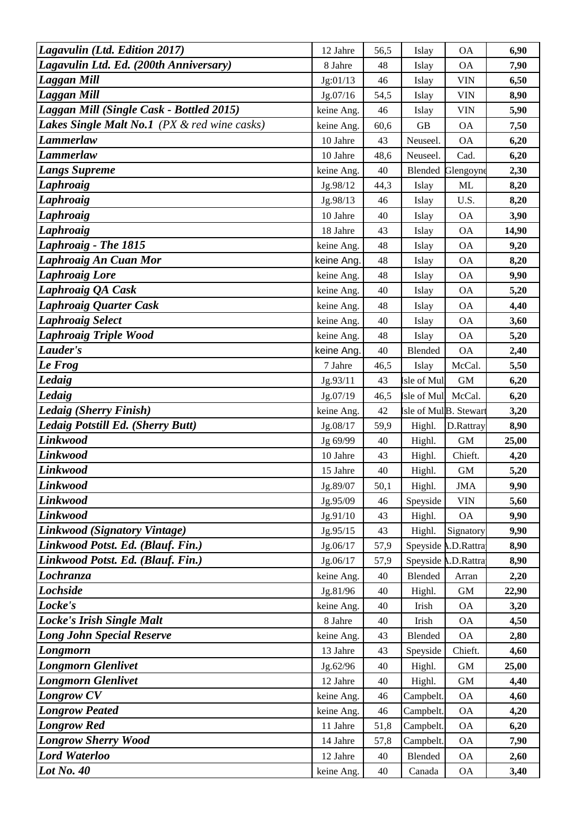| Lagavulin (Ltd. Edition 2017)                | 12 Jahre               | 56,5     | Islay                             | <b>OA</b>              | 6,90         |
|----------------------------------------------|------------------------|----------|-----------------------------------|------------------------|--------------|
| Lagavulin Ltd. Ed. (200th Anniversary)       | 8 Jahre                | 48       | Islay                             | <b>OA</b>              | 7,90         |
| Laggan Mill                                  | Jg:01/13               | 46       | Islay                             | <b>VIN</b>             | 6,50         |
| Laggan Mill                                  | Jg.07/16               | 54,5     | Islay                             | <b>VIN</b>             | 8,90         |
| Laggan Mill (Single Cask - Bottled 2015)     | keine Ang.             | 46       | Islay                             | <b>VIN</b>             | 5,90         |
| Lakes Single Malt No.1 (PX & red wine casks) | keine Ang.             | 60,6     | GB                                | <b>OA</b>              | 7,50         |
| <b>Lammerlaw</b>                             | 10 Jahre               | 43       | Neuseel.                          | <b>OA</b>              | 6,20         |
| Lammerlaw                                    | 10 Jahre               | 48,6     | Neuseel.                          | Cad.                   | 6,20         |
| <b>Langs Supreme</b>                         | keine Ang.             | 40       | Blended                           | Glengoyne              | 2,30         |
| <b>Laphroaig</b>                             | Jg.98/12               | 44,3     | Islay                             | <b>ML</b>              | 8,20         |
| Laphroaig                                    | Jg.98/13               | 46       | Islay                             | U.S.                   | 8,20         |
| Laphroaig                                    | 10 Jahre               | 40       | Islay                             | <b>OA</b>              | 3,90         |
| <b>Laphroaig</b>                             | 18 Jahre               | 43       | Islay                             | <b>OA</b>              | 14,90        |
| Laphroaig - The 1815                         | keine Ang.             | 48       | Islay                             | <b>OA</b>              | 9,20         |
| Laphroaig An Cuan Mor                        | keine Ang.             | 48       | Islay                             | <b>OA</b>              | 8,20         |
| <b>Laphroaig Lore</b>                        | keine Ang.             | 48       | Islay                             | <b>OA</b>              | 9,90         |
| Laphroaig QA Cask                            | keine Ang.             | 40       | Islay                             | <b>OA</b>              | 5,20         |
| Laphroaig Quarter Cask                       | keine Ang.             | 48       | Islay                             | <b>OA</b>              | 4,40         |
| <b>Laphroaig Select</b>                      | keine Ang.             | 40       | Islay                             | <b>OA</b>              | 3,60         |
| <b>Laphroaig Triple Wood</b>                 | keine Ang.             | 48       | Islay                             | <b>OA</b>              | 5,20         |
| Lauder's                                     | keine Ang.             | 40       | Blended                           | <b>OA</b>              | 2,40         |
| Le Frog                                      | 7 Jahre                | 46,5     | Islay                             | McCal.                 | 5,50         |
| Ledaig                                       | Jg.93/11               | 43       | sle of Mul                        | GM                     | 6,20         |
| Ledaig                                       | Jg.07/19               | 46,5     | sle of Mul                        | McCal.                 | 6,20         |
| Ledaig (Sherry Finish)                       | keine Ang.             | 42       | sle of Mul <sub>B</sub> . Stewart |                        | 3,20         |
| Ledaig Potstill Ed. (Sherry Butt)            | Jg.08/17               | 59,9     | Highl.                            | D.Rattray              | 8,90         |
| <b>Linkwood</b>                              | Jg 69/99               | 40       | Highl.                            | GM                     | 25,00        |
| Linkwood                                     | 10 Jahre               | 43       | Highl.                            | Chieft.                | 4,20         |
| Linkwood                                     | 15 Jahre               | 40       | Highl.                            | <b>GM</b>              | 5,20         |
| Linkwood                                     | Jg.89/07               | 50,1     | Highl.                            | <b>JMA</b>             | 9,90         |
| Linkwood                                     | Jg.95/09               | 46       | Speyside                          | <b>VIN</b>             | 5,60         |
| <b>Linkwood</b>                              | Jg.91/10               | 43       | Highl.                            | <b>OA</b>              | 9,90         |
| Linkwood (Signatory Vintage)                 | Jg.95/15               | 43       | Highl.                            | Signatory              | 9,90         |
| Linkwood Potst. Ed. (Blauf. Fin.)            | Jg.06/17               | 57,9     |                                   | Speyside A.D.Rattra    | 8,90         |
| Linkwood Potst. Ed. (Blauf. Fin.)            | Jg.06/17               | 57,9     |                                   | Speyside A.D.Rattra    | 8,90         |
| Lochranza                                    | keine Ang.             | 40       | Blended                           | Arran                  | 2,20         |
| Lochside                                     | Jg.81/96               | 40       | Highl.                            | $\,$ GM $\,$           | 22,90        |
| Locke's                                      | keine Ang.             | 40       | Irish                             | <b>OA</b>              | 3,20         |
| Locke's Irish Single Malt                    | 8 Jahre                | 40       | Irish                             | <b>OA</b>              | 4,50         |
| <b>Long John Special Reserve</b>             | keine Ang.             | 43       | Blended                           | <b>OA</b>              | 2,80         |
| Longmorn                                     | 13 Jahre               | 43       | Speyside                          | Chieft.                | 4,60         |
| <b>Longmorn Glenlivet</b>                    | Jg.62/96               | 40       | Highl.                            | $\,$ GM $\,$           | 25,00        |
| <b>Longmorn Glenlivet</b>                    | 12 Jahre               | 40       | Highl.                            | GM                     | 4,40         |
|                                              |                        |          |                                   | <b>OA</b>              | 4,60         |
| <b>Longrow CV</b>                            | keine Ang.             | 46       | Campbelt.                         |                        |              |
| <b>Longrow Peated</b>                        | keine Ang.             | 46       | Campbelt.                         | <b>OA</b>              | 4,20         |
| <b>Longrow Red</b>                           | 11 Jahre               | 51,8     | Campbelt.                         | <b>OA</b>              | 6,20         |
| <b>Longrow Sherry Wood</b>                   | 14 Jahre               | 57,8     | Campbelt.                         | <b>OA</b>              | 7,90         |
| <b>Lord Waterloo</b><br>Lot No. 40           | 12 Jahre<br>keine Ang. | 40<br>40 | Blended<br>Canada                 | <b>OA</b><br><b>OA</b> | 2,60<br>3,40 |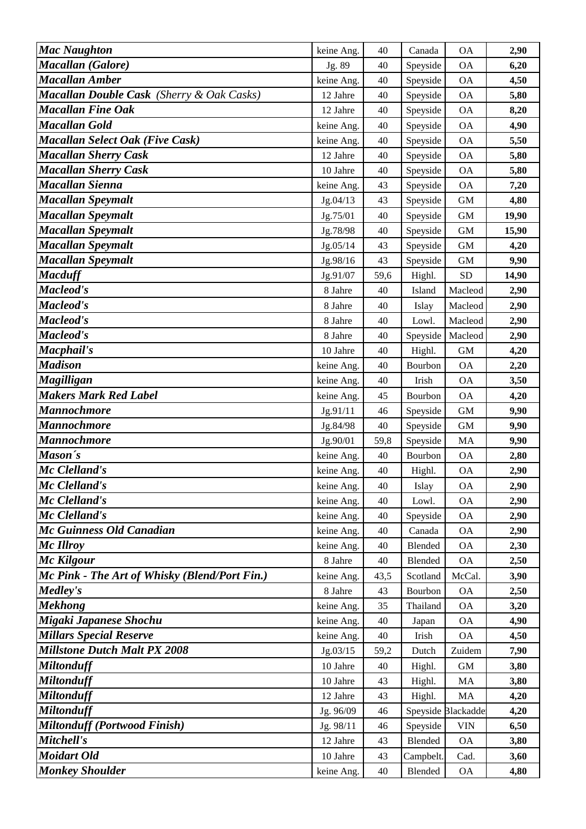| <b>Mac Naughton</b>                           | keine Ang. | 40   | Canada   | <b>OA</b>          | 2,90  |
|-----------------------------------------------|------------|------|----------|--------------------|-------|
| Macallan (Galore)                             | Jg. 89     | 40   | Speyside | <b>OA</b>          | 6,20  |
| Macallan Amber                                | keine Ang. | 40   | Speyside | <b>OA</b>          | 4,50  |
| Macallan Double Cask (Sherry & Oak Casks)     | 12 Jahre   | 40   | Speyside | <b>OA</b>          | 5,80  |
| <b>Macallan Fine Oak</b>                      | 12 Jahre   | 40   | Speyside | <b>OA</b>          | 8,20  |
| Macallan Gold                                 | keine Ang. | 40   | Speyside | <b>OA</b>          | 4,90  |
| <b>Macallan Select Oak (Five Cask)</b>        | keine Ang. | 40   | Speyside | <b>OA</b>          | 5,50  |
| <b>Macallan Sherry Cask</b>                   | 12 Jahre   | 40   | Speyside | <b>OA</b>          | 5,80  |
| <b>Macallan Sherry Cask</b>                   | 10 Jahre   | 40   | Speyside | <b>OA</b>          | 5,80  |
| Macallan Sienna                               | keine Ang. | 43   | Speyside | <b>OA</b>          | 7,20  |
| Macallan Speymalt                             | Jg.04/13   | 43   | Speyside | $\mbox{GM}$        | 4,80  |
| Macallan Speymalt                             | Jg.75/01   | 40   | Speyside | $\mbox{GM}$        | 19,90 |
| Macallan Speymalt                             | Jg.78/98   | 40   | Speyside | <b>GM</b>          | 15,90 |
| Macallan Speymalt                             | Jg.05/14   | 43   | Speyside | <b>GM</b>          | 4,20  |
| Macallan Speymalt                             | Jg.98/16   | 43   | Speyside | <b>GM</b>          | 9,90  |
| <b>Macduff</b>                                | Jg.91/07   | 59,6 | Highl.   | <b>SD</b>          | 14,90 |
| Macleod's                                     | 8 Jahre    | 40   | Island   | Macleod            | 2,90  |
| Macleod's                                     | 8 Jahre    | 40   | Islay    | Macleod            | 2,90  |
| Macleod's                                     | 8 Jahre    | 40   | Lowl.    | Macleod            | 2,90  |
| Macleod's                                     | 8 Jahre    | 40   | Speyside | Macleod            | 2,90  |
| Macphail's                                    | 10 Jahre   | 40   | Highl.   | <b>GM</b>          | 4,20  |
| <b>Madison</b>                                | keine Ang. | 40   | Bourbon  | <b>OA</b>          | 2,20  |
| Magilligan                                    | keine Ang. | 40   | Irish    | <b>OA</b>          | 3,50  |
| <b>Makers Mark Red Label</b>                  | keine Ang. | 45   | Bourbon  | <b>OA</b>          | 4,20  |
| <b>Mannochmore</b>                            | Jg.91/11   | 46   | Speyside | $\mbox{GM}$        | 9,90  |
| Mannochmore                                   | Jg.84/98   | 40   | Speyside | <b>GM</b>          | 9,90  |
| <b>Mannochmore</b>                            | Jg.90/01   | 59,8 | Speyside | MA                 | 9,90  |
| Mason's                                       | keine Ang. | 40   | Bourbon  | <b>OA</b>          | 2,80  |
| Mc Clelland's                                 | keine Ang. | 40   | Highl.   | <b>OA</b>          | 2,90  |
| Mc Clelland's                                 | keine Ang. | 40   | Islay    | <b>OA</b>          | 2,90  |
| Mc Clelland's                                 | keine Ang. | 40   | Lowl.    | <b>OA</b>          | 2,90  |
| Mc Clelland's                                 | keine Ang. | 40   | Speyside | <b>OA</b>          | 2,90  |
| Mc Guinness Old Canadian                      | keine Ang. | 40   | Canada   | <b>OA</b>          | 2,90  |
| Mc Illroy                                     | keine Ang. | 40   | Blended  | <b>OA</b>          | 2,30  |
| Mc Kilgour                                    | 8 Jahre    | 40   | Blended  | <b>OA</b>          | 2,50  |
| Mc Pink - The Art of Whisky (Blend/Port Fin.) | keine Ang. | 43,5 | Scotland | McCal.             | 3,90  |
| Medley's                                      | 8 Jahre    | 43   | Bourbon  | <b>OA</b>          | 2,50  |
| <b>Mekhong</b>                                | keine Ang. | 35   | Thailand | <b>OA</b>          | 3,20  |
| Migaki Japanese Shochu                        | keine Ang. | 40   | Japan    | <b>OA</b>          | 4,90  |
| <b>Millars Special Reserve</b>                | keine Ang. | 40   | Irish    | <b>OA</b>          | 4,50  |
| <b>Millstone Dutch Malt PX 2008</b>           | Jg.03/15   | 59,2 | Dutch    | Zuidem             | 7,90  |
| <b>Miltonduff</b>                             | 10 Jahre   | 40   | Highl.   | <b>GM</b>          | 3,80  |
| <b>Miltonduff</b>                             | 10 Jahre   | 43   | Highl.   | MA                 | 3,80  |
| <b>Miltonduff</b>                             | 12 Jahre   | 43   | Highl.   | MA                 | 4,20  |
| <b>Miltonduff</b>                             | Jg. 96/09  | 46   |          | Speyside Blackadde | 4,20  |
| <b>Miltonduff (Portwood Finish)</b>           | Jg. 98/11  | 46   | Speyside | <b>VIN</b>         | 6,50  |
| Mitchell's                                    | 12 Jahre   | 43   | Blended  | <b>OA</b>          | 3,80  |
| Moidart Old                                   | 10 Jahre   | 43   | Campbelt | Cad.               | 3,60  |
| <b>Monkey Shoulder</b>                        | keine Ang. | 40   | Blended  | <b>OA</b>          | 4,80  |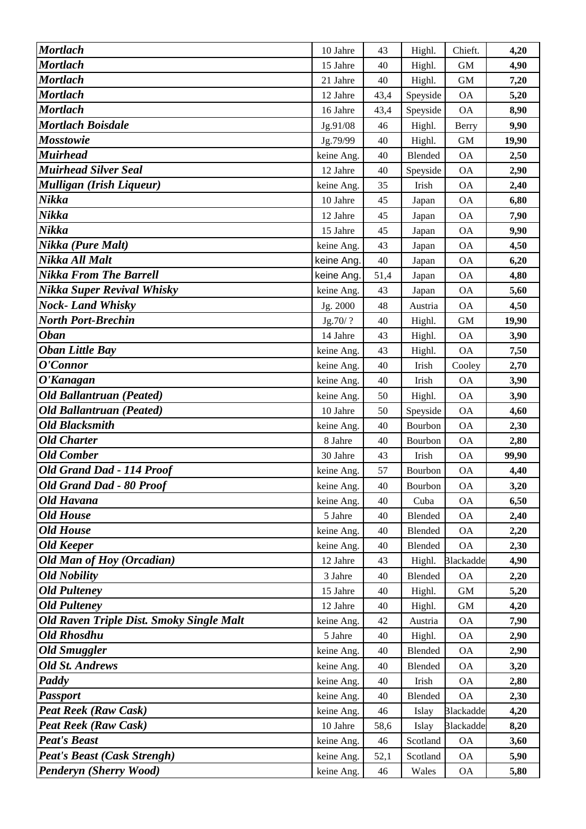| <b>Mortlach</b>                                     | 10 Jahre                 | 43         | Highl.            | Chieft.                       | 4,20         |
|-----------------------------------------------------|--------------------------|------------|-------------------|-------------------------------|--------------|
| <b>Mortlach</b>                                     | 15 Jahre                 | 40         | Highl.            | <b>GM</b>                     | 4,90         |
| <b>Mortlach</b>                                     | 21 Jahre                 | 40         | Highl.            | <b>GM</b>                     | 7,20         |
| <b>Mortlach</b>                                     | 12 Jahre                 | 43,4       | Speyside          | <b>OA</b>                     | 5,20         |
| <b>Mortlach</b>                                     | 16 Jahre                 | 43,4       | Speyside          | <b>OA</b>                     | 8,90         |
| Mortlach Boisdale                                   | Jg.91/08                 | 46         | Highl.            | <b>Berry</b>                  | 9,90         |
| <b>Mosstowie</b>                                    | Jg.79/99                 | 40         | Highl.            | <b>GM</b>                     | 19,90        |
| <b>Muirhead</b>                                     | keine Ang.               | 40         | Blended           | <b>OA</b>                     | 2,50         |
| <b>Muirhead Silver Seal</b>                         | 12 Jahre                 | 40         | Speyside          | <b>OA</b>                     | 2,90         |
| Mulligan (Irish Liqueur)                            | keine Ang.               | 35         | Irish             | <b>OA</b>                     | 2,40         |
| Nikka                                               | 10 Jahre                 | 45         | Japan             | <b>OA</b>                     | 6,80         |
| Nikka                                               | 12 Jahre                 | 45         | Japan             | <b>OA</b>                     | 7,90         |
| Nikka                                               | 15 Jahre                 | 45         | Japan             | <b>OA</b>                     | 9,90         |
| Nikka (Pure Malt)                                   | keine Ang.               | 43         | Japan             | <b>OA</b>                     | 4,50         |
| Nikka All Malt                                      | keine Ang.               | 40         | Japan             | <b>OA</b>                     | 6,20         |
| <b>Nikka From The Barrell</b>                       | keine Ang.               | 51,4       | Japan             | <b>OA</b>                     | 4,80         |
| Nikka Super Revival Whisky                          | keine Ang.               | 43         | Japan             | <b>OA</b>                     | 5,60         |
| <b>Nock-Land Whisky</b>                             | Jg. 2000                 | 48         | Austria           | <b>OA</b>                     | 4,50         |
| <b>North Port-Brechin</b>                           | Jg.70/?                  | 40         | Highl.            | <b>GM</b>                     | 19,90        |
| <b>Oban</b>                                         | 14 Jahre                 | 43         | Highl.            | <b>OA</b>                     | 3,90         |
| <b>Oban Little Bay</b>                              | keine Ang.               | 43         | Highl.            | <b>OA</b>                     | 7,50         |
| O'Connor                                            | keine Ang.               | 40         | Irish             | Cooley                        | 2,70         |
| O'Kanagan                                           | keine Ang.               | 40         | Irish             | <b>OA</b>                     | 3,90         |
| <b>Old Ballantruan (Peated)</b>                     | keine Ang.               | 50         | Highl.            | <b>OA</b>                     | 3,90         |
| <b>Old Ballantruan (Peated)</b>                     | 10 Jahre                 | 50         | Speyside          | <b>OA</b>                     | 4,60         |
| <b>Old Blacksmith</b>                               | keine Ang.               | 40         | Bourbon           | <b>OA</b>                     | 2,30         |
| <b>Old Charter</b>                                  | 8 Jahre                  | 40         | Bourbon           | <b>OA</b>                     | 2,80         |
| <b>Old Comber</b>                                   | 30 Jahre                 | 43         | Irish             | <b>OA</b>                     | 99,90        |
| Old Grand Dad - 114 Proof                           | keine Ang.               | 57         | Bourbon           | <b>OA</b>                     | 4,40         |
| Old Grand Dad - 80 Proof                            | keine Ang.               | 40         | Bourbon           | ОA                            | 3,20         |
| <b>Old Havana</b>                                   | keine Ang.               | 40         | Cuba              | <b>OA</b>                     | 6,50         |
| <b>Old House</b>                                    | 5 Jahre                  | 40         | Blended           | <b>OA</b>                     | 2,40         |
| <b>Old House</b>                                    | keine Ang.               | 40         | Blended           | <b>OA</b>                     | 2,20         |
| <b>Old Keeper</b>                                   | keine Ang.               | 40         | Blended           | <b>OA</b>                     | 2,30         |
| Old Man of Hoy (Orcadian)                           | 12 Jahre                 | 43         | Highl.            | <b>Blackadde</b>              | 4,90         |
| <b>Old Nobility</b>                                 | 3 Jahre                  | 40         | <b>Blended</b>    | <b>OA</b>                     | 2,20         |
| <b>Old Pulteney</b>                                 | 15 Jahre                 | 40         | Highl.            | $\mbox{GM}$                   | 5,20         |
| <b>Old Pulteney</b>                                 | 12 Jahre                 | 40         | Highl.            | $\,$ GM $\,$                  | 4,20         |
| <b>Old Raven Triple Dist. Smoky Single Malt</b>     | keine Ang.               | 42         | Austria           | <b>OA</b>                     | 7,90         |
| <b>Old Rhosdhu</b>                                  | 5 Jahre                  | 40         | Highl.            | <b>OA</b>                     | 2,90         |
| <b>Old Smuggler</b>                                 | keine Ang.               | 40         | Blended           | OA                            | 2,90         |
| <b>Old St. Andrews</b><br>Paddy                     | keine Ang.               | 40         | Blended           | <b>OA</b>                     | 3,20         |
|                                                     | keine Ang.               | 40         | Irish             | <b>OA</b>                     | 2,80         |
| <b>Passport</b>                                     | keine Ang.               | 40         | Blended           | <b>OA</b>                     | 2,30         |
| Peat Reek (Raw Cask)<br><b>Peat Reek (Raw Cask)</b> | keine Ang.               | 46         | Islay             | <b>Blackadde</b>              | 4,20         |
| <b>Peat's Beast</b>                                 | 10 Jahre                 | 58,6<br>46 | Islay<br>Scotland | <b>Blackadde</b><br><b>OA</b> | 8,20         |
| <b>Peat's Beast (Cask Strengh)</b>                  | keine Ang.<br>keine Ang. | 52,1       | Scotland          | $\mathcal{O}\mathcal{A}$      | 3,60<br>5,90 |
| Penderyn (Sherry Wood)                              | keine Ang.               | 46         | Wales             | <b>OA</b>                     | 5,80         |
|                                                     |                          |            |                   |                               |              |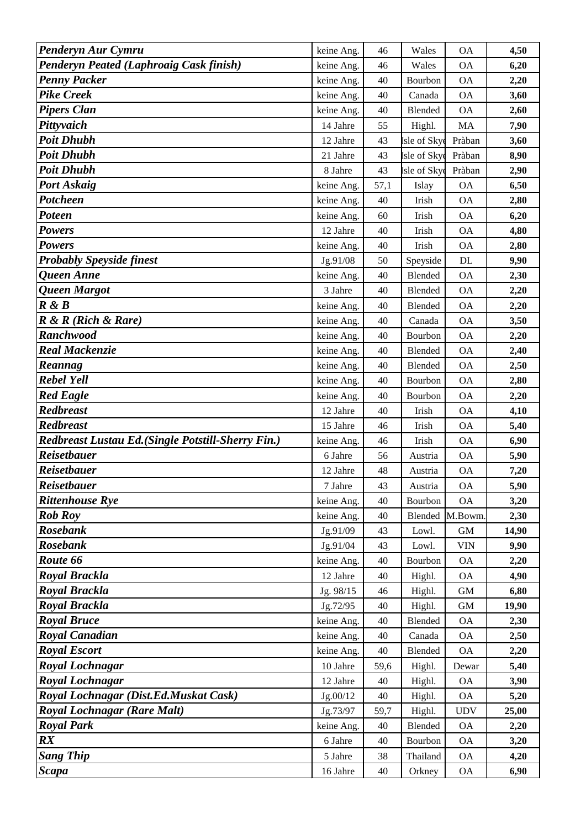| Penderyn Aur Cymru                                 | keine Ang.          | 46   | Wales          | <b>OA</b>    | 4,50  |
|----------------------------------------------------|---------------------|------|----------------|--------------|-------|
| <b>Penderyn Peated (Laphroaig Cask finish)</b>     | keine Ang.          | 46   | Wales          | <b>OA</b>    | 6,20  |
| <b>Penny Packer</b>                                | keine Ang.          | 40   | Bourbon        | <b>OA</b>    | 2,20  |
| <b>Pike Creek</b>                                  | keine Ang.          | 40   | Canada         | <b>OA</b>    | 3,60  |
| <b>Pipers Clan</b>                                 | keine Ang.          | 40   | Blended        | <b>OA</b>    | 2,60  |
| Pittyvaich                                         | 14 Jahre            | 55   | Highl.         | MA           | 7,90  |
| <b>Poit Dhubh</b>                                  | 12 Jahre            | 43   | sle of Sky     | Pràban       | 3,60  |
| <b>Poit Dhubh</b>                                  | 21 Jahre            | 43   | sle of Sky     | Pràban       | 8,90  |
| <b>Poit Dhubh</b>                                  | 8 Jahre             | 43   | sle of Sky     | Pràban       | 2,90  |
| Port Askaig                                        | keine Ang.          | 57,1 | Islay          | <b>OA</b>    | 6,50  |
| Potcheen                                           | keine Ang.          | 40   | Irish          | <b>OA</b>    | 2,80  |
| <b>Poteen</b>                                      | keine Ang.          | 60   | Irish          | <b>OA</b>    | 6,20  |
| <b>Powers</b>                                      | 12 Jahre            | 40   | Irish          | <b>OA</b>    | 4,80  |
| <b>Powers</b>                                      | keine Ang.          | 40   | Irish          | <b>OA</b>    | 2,80  |
| <b>Probably Speyside finest</b>                    | Jg.91/08            | 50   | Speyside       | DL           | 9,90  |
| Queen Anne                                         | keine Ang.          | 40   | <b>Blended</b> | <b>OA</b>    | 2,30  |
| Queen Margot                                       | 3 Jahre             | 40   | Blended        | <b>OA</b>    | 2,20  |
| R & B                                              | keine Ang.          | 40   | Blended        | <b>OA</b>    | 2,20  |
| $R \& R$ (Rich $\&$ Rare)                          | keine Ang.          | 40   | Canada         | <b>OA</b>    | 3,50  |
| <b>Ranchwood</b>                                   | keine Ang.          | 40   | Bourbon        | <b>OA</b>    | 2,20  |
| <b>Real Mackenzie</b>                              | keine Ang.          | 40   | Blended        | <b>OA</b>    | 2,40  |
| Reannag                                            | keine Ang.          | 40   | Blended        | <b>OA</b>    | 2,50  |
| <b>Rebel Yell</b>                                  | keine Ang.          | 40   | Bourbon        | <b>OA</b>    | 2,80  |
| <b>Red Eagle</b>                                   | keine Ang.          | 40   | Bourbon        | <b>OA</b>    | 2,20  |
| <b>Redbreast</b>                                   | 12 Jahre            | 40   | Irish          | <b>OA</b>    | 4,10  |
| <b>Redbreast</b>                                   | 15 Jahre            | 46   | Irish          | <b>OA</b>    | 5,40  |
| Redbreast Lustau Ed. (Single Potstill-Sherry Fin.) | keine Ang.          | 46   | Irish          | <b>OA</b>    | 6,90  |
| <b>Reisetbauer</b>                                 | 6 Jahre             | 56   | Austria        | <b>OA</b>    | 5,90  |
| <b>Reisetbauer</b>                                 | 12 Jahre            | 48   | Austria        | <b>OA</b>    | 7,20  |
| Reisetbauer                                        | 7 Jahre             | 43   | Austria        | ОA           | 5,90  |
| <b>Rittenhouse Rye</b>                             | keine Ang.          | 40   | Bourbon        | <b>OA</b>    | 3,20  |
| <b>Rob Roy</b>                                     | keine Ang.          | 40   | Blended        | M.Bowm.      | 2,30  |
| <b>Rosebank</b>                                    | Jg.91/09            | 43   | Lowl.          | $\,$ GM $\,$ | 14,90 |
| <b>Rosebank</b>                                    | Jg.91/04            | 43   | Lowl.          | <b>VIN</b>   | 9,90  |
| Route 66                                           | keine Ang.          | 40   | Bourbon        | <b>OA</b>    | 2,20  |
| Royal Brackla                                      | 12 Jahre            | 40   | Highl.         | <b>OA</b>    | 4,90  |
| Royal Brackla                                      | Jg. 98/15           | 46   | Highl.         | $\mbox{GM}$  | 6,80  |
| Royal Brackla                                      | Jg.72/95            | 40   | Highl.         | $\,$ GM $\,$ | 19,90 |
| <b>Royal Bruce</b>                                 | keine Ang.          | 40   | Blended        | <b>OA</b>    | 2,30  |
| <b>Royal Canadian</b>                              | keine Ang.          | 40   | Canada         | <b>OA</b>    | 2,50  |
| <b>Royal Escort</b>                                | keine Ang.          | 40   | Blended        | <b>OA</b>    | 2,20  |
| Royal Lochnagar                                    | 10 Jahre            | 59,6 | Highl.         | Dewar        | 5,40  |
| <b>Royal Lochnagar</b>                             | 12 Jahre            | 40   | Highl.         | <b>OA</b>    | 3,90  |
| Royal Lochnagar (Dist.Ed.Muskat Cask)              | Jg.00/12            | 40   | Highl.         | <b>OA</b>    | 5,20  |
| <b>Royal Lochnagar (Rare Malt)</b>                 | Jg.73/97            | 59,7 | Highl.         | <b>UDV</b>   | 25,00 |
| <b>Royal Park</b>                                  | keine Ang.          | 40   | Blended        | <b>OA</b>    | 2,20  |
| $\boldsymbol{R} \boldsymbol{X}$                    | 6 Jahre             | 40   | Bourbon        | <b>OA</b>    | 3,20  |
| <b>Sang Thip</b>                                   |                     | 38   | Thailand       | <b>OA</b>    | 4,20  |
| <b>Scapa</b>                                       | 5 Jahre<br>16 Jahre | 40   | Orkney         | <b>OA</b>    | 6,90  |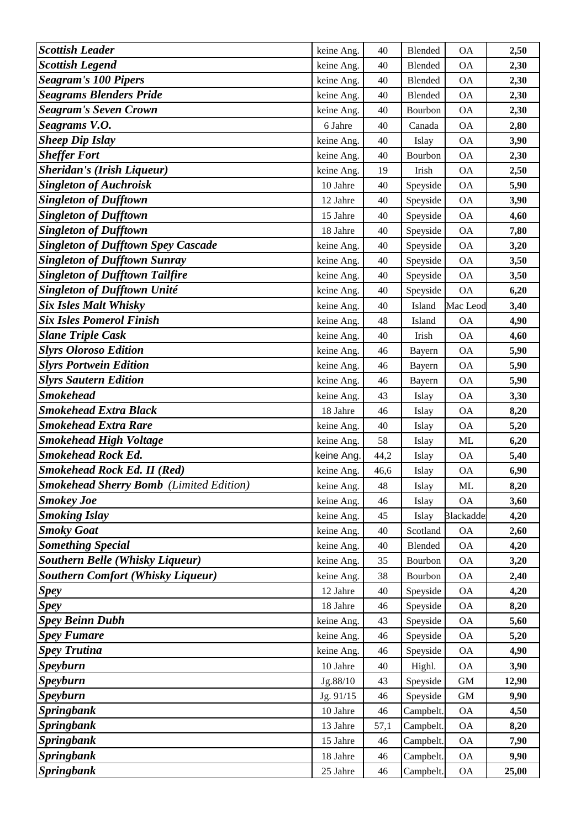| <b>Scottish Leader</b>                         | keine Ang.           | 40       | Blended                | <b>OA</b>              | 2,50          |
|------------------------------------------------|----------------------|----------|------------------------|------------------------|---------------|
| <b>Scottish Legend</b>                         | keine Ang.           | 40       | Blended                | <b>OA</b>              | 2,30          |
| <b>Seagram's 100 Pipers</b>                    | keine Ang.           | 40       | Blended                | <b>OA</b>              | 2,30          |
| <b>Seagrams Blenders Pride</b>                 | keine Ang.           | 40       | Blended                | <b>OA</b>              | 2,30          |
| <b>Seagram's Seven Crown</b>                   | keine Ang.           | 40       | Bourbon                | <b>OA</b>              | 2,30          |
| Seagrams V.O.                                  | 6 Jahre              | 40       | Canada                 | <b>OA</b>              | 2,80          |
| <b>Sheep Dip Islay</b>                         | keine Ang.           | 40       | Islay                  | <b>OA</b>              | 3,90          |
| <b>Sheffer Fort</b>                            | keine Ang.           | 40       | Bourbon                | <b>OA</b>              | 2,30          |
| <b>Sheridan's (Irish Liqueur)</b>              | keine Ang.           | 19       | Irish                  | <b>OA</b>              | 2,50          |
| <b>Singleton of Auchroisk</b>                  | 10 Jahre             | 40       | Speyside               | <b>OA</b>              | 5,90          |
| <b>Singleton of Dufftown</b>                   | 12 Jahre             | 40       | Speyside               | <b>OA</b>              | 3,90          |
| <b>Singleton of Dufftown</b>                   | 15 Jahre             | 40       | Speyside               | <b>OA</b>              | 4,60          |
| <b>Singleton of Dufftown</b>                   | 18 Jahre             | 40       | Speyside               | <b>OA</b>              | 7,80          |
| <b>Singleton of Dufftown Spey Cascade</b>      | keine Ang.           | 40       | Speyside               | <b>OA</b>              | 3,20          |
| <b>Singleton of Dufftown Sunray</b>            | keine Ang.           | 40       | Speyside               | <b>OA</b>              | 3,50          |
| <b>Singleton of Dufftown Tailfire</b>          | keine Ang.           | 40       | Speyside               | <b>OA</b>              | 3,50          |
| <b>Singleton of Dufftown Unité</b>             | keine Ang.           | 40       | Speyside               | <b>OA</b>              | 6,20          |
| <b>Six Isles Malt Whisky</b>                   | keine Ang.           | 40       | Island                 | Mac Leod               | 3,40          |
| <b>Six Isles Pomerol Finish</b>                | keine Ang.           | 48       | Island                 | <b>OA</b>              | 4,90          |
| <b>Slane Triple Cask</b>                       | keine Ang.           | 40       | Irish                  | <b>OA</b>              | 4,60          |
| <b>Slyrs Oloroso Edition</b>                   | keine Ang.           | 46       | Bayern                 | <b>OA</b>              | 5,90          |
| <b>Slyrs Portwein Edition</b>                  | keine Ang.           | 46       | Bayern                 | <b>OA</b>              | 5,90          |
| <b>Slyrs Sautern Edition</b>                   | keine Ang.           | 46       | Bayern                 | <b>OA</b>              | 5,90          |
| <b>Smokehead</b>                               | keine Ang.           | 43       | Islay                  | <b>OA</b>              | 3,30          |
| <b>Smokehead Extra Black</b>                   | 18 Jahre             | 46       | Islay                  | <b>OA</b>              | 8,20          |
| <b>Smokehead Extra Rare</b>                    | keine Ang.           | 40       | Islay                  | <b>OA</b>              | 5,20          |
| <b>Smokehead High Voltage</b>                  | keine Ang.           | 58       | Islay                  | ML                     | 6,20          |
| <b>Smokehead Rock Ed.</b>                      | keine Ang.           | 44,2     | Islay                  | <b>OA</b>              | 5,40          |
| <b>Smokehead Rock Ed. II (Red)</b>             | keine Ang.           | 46,6     | Islay                  | <b>OA</b>              | 6,90          |
| <b>Smokehead Sherry Bomb</b> (Limited Edition) | keine Ang.           | 48       | Islay                  | ML                     | 8,20          |
| <b>Smokey Joe</b>                              | keine Ang.           | 46       | Islay                  | <b>OA</b>              | 3,60          |
| <b>Smoking Islay</b>                           | keine Ang.           | 45       | Islay                  | <b>Blackadde</b>       | 4,20          |
| <b>Smoky Goat</b>                              | keine Ang.           | 40       | Scotland               | <b>OA</b>              | 2,60          |
| <b>Something Special</b>                       | keine Ang.           | 40       | Blended                | <b>OA</b>              | 4,20          |
| <b>Southern Belle (Whisky Liqueur)</b>         | keine Ang.           | 35       | Bourbon                | <b>OA</b>              | 3,20          |
| <b>Southern Comfort (Whisky Liqueur)</b>       | keine Ang.           | 38       | Bourbon                | <b>OA</b>              | 2,40          |
| <b>Spey</b>                                    | 12 Jahre             | 40       | Speyside               | <b>OA</b>              | 4,20          |
| <b>Spey</b>                                    | 18 Jahre             | 46       | Speyside               | <b>OA</b>              | 8,20          |
| <b>Spey Beinn Dubh</b>                         | keine Ang.           | 43       | Speyside               | <b>OA</b>              | 5,60          |
| <b>Spey Fumare</b>                             | keine Ang.           | 46       | Speyside               | <b>OA</b>              | 5,20          |
| <b>Spey Trutina</b>                            | keine Ang.           | 46       | Speyside               | <b>OA</b>              | 4,90          |
| <b>Speyburn</b>                                | 10 Jahre             | 40       | Highl.                 | <b>OA</b>              | 3,90          |
| <b>Speyburn</b>                                | Jg.88/10             | 43       | Speyside               | <b>GM</b>              | 12,90         |
| <b>Speyburn</b>                                | Jg. 91/15            | 46       | Speyside               | $\,$ GM $\,$           | 9,90          |
| <b>Springbank</b>                              | 10 Jahre             | 46       | Campbelt.              | <b>OA</b>              | 4,50          |
| <b>Springbank</b>                              | 13 Jahre             | 57,1     | Campbelt.              | <b>OA</b>              | 8,20          |
| <b>Springbank</b>                              |                      |          |                        |                        |               |
|                                                | 15 Jahre             | 46       | Campbelt.              | <b>OA</b>              | 7,90          |
| <b>Springbank</b><br><b>Springbank</b>         | 18 Jahre<br>25 Jahre | 46<br>46 | Campbelt.<br>Campbelt. | <b>OA</b><br><b>OA</b> | 9,90<br>25,00 |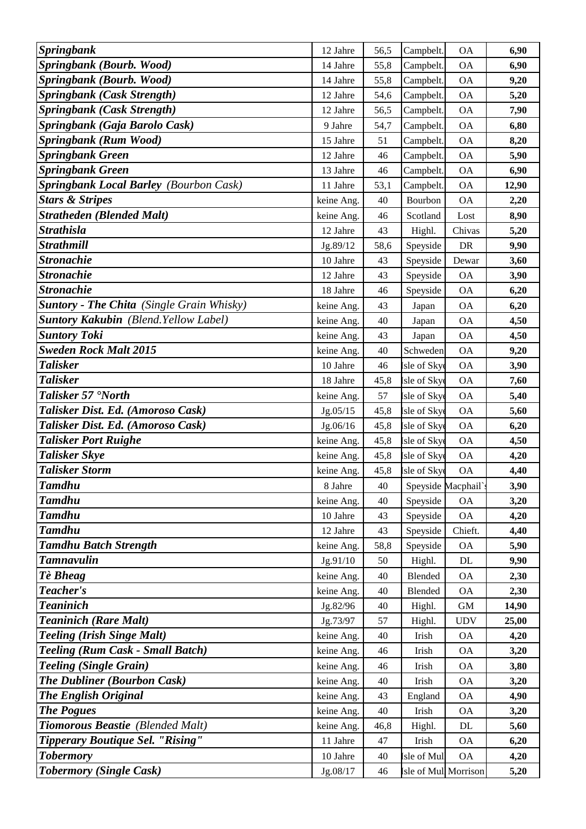| <b>Springbank</b>                                | 12 Jahre   | 56,5 | Campbelt.            | <b>OA</b>           | 6,90  |
|--------------------------------------------------|------------|------|----------------------|---------------------|-------|
| Springbank (Bourb. Wood)                         | 14 Jahre   | 55,8 | Campbelt.            | <b>OA</b>           | 6,90  |
| Springbank (Bourb. Wood)                         | 14 Jahre   | 55,8 | Campbelt.            | <b>OA</b>           | 9,20  |
| <b>Springbank (Cask Strength)</b>                | 12 Jahre   | 54,6 | Campbelt.            | <b>OA</b>           | 5,20  |
| <b>Springbank</b> (Cask Strength)                | 12 Jahre   | 56,5 | Campbelt.            | <b>OA</b>           | 7,90  |
| Springbank (Gaja Barolo Cask)                    | 9 Jahre    | 54,7 | Campbelt.            | <b>OA</b>           | 6,80  |
| Springbank (Rum Wood)                            | 15 Jahre   | 51   | Campbelt.            | <b>OA</b>           | 8,20  |
| <b>Springbank Green</b>                          | 12 Jahre   | 46   | Campbelt.            | <b>OA</b>           | 5,90  |
| <b>Springbank Green</b>                          | 13 Jahre   | 46   | Campbelt.            | <b>OA</b>           | 6,90  |
| <b>Springbank Local Barley (Bourbon Cask)</b>    | 11 Jahre   | 53,1 | Campbelt.            | <b>OA</b>           | 12,90 |
| <b>Stars &amp; Stripes</b>                       | keine Ang. | 40   | Bourbon              | <b>OA</b>           | 2,20  |
| <b>Stratheden (Blended Malt)</b>                 | keine Ang. | 46   | Scotland             | Lost                | 8,90  |
| <b>Strathisla</b>                                | 12 Jahre   | 43   | Highl.               | Chivas              | 5,20  |
| <b>Strathmill</b>                                | Jg.89/12   | 58,6 | Speyside             | DR                  | 9,90  |
| <b>Stronachie</b>                                | 10 Jahre   | 43   | Speyside             | Dewar               | 3,60  |
| <b>Stronachie</b>                                | 12 Jahre   | 43   | Speyside             | <b>OA</b>           | 3,90  |
| <b>Stronachie</b>                                | 18 Jahre   | 46   | Speyside             | <b>OA</b>           | 6,20  |
| <b>Suntory - The Chita</b> (Single Grain Whisky) | keine Ang. | 43   | Japan                | <b>OA</b>           | 6,20  |
| <b>Suntory Kakubin</b> (Blend. Yellow Label)     | keine Ang. | 40   | Japan                | <b>OA</b>           | 4,50  |
| <b>Suntory Toki</b>                              | keine Ang. | 43   | Japan                | <b>OA</b>           | 4,50  |
| <b>Sweden Rock Malt 2015</b>                     | keine Ang. | 40   | Schweden             | <b>OA</b>           | 9,20  |
| <b>Talisker</b>                                  | 10 Jahre   | 46   | Isle of Sky          | <b>OA</b>           | 3,90  |
| <b>Talisker</b>                                  | 18 Jahre   | 45,8 | Isle of Sky          | <b>OA</b>           | 7,60  |
| Talisker 57 'North                               | keine Ang. | 57   | Isle of Sky          | <b>OA</b>           | 5,40  |
| Talisker Dist. Ed. (Amoroso Cask)                | Jg.05/15   | 45,8 | Isle of Sky          | <b>OA</b>           | 5,60  |
| Talisker Dist. Ed. (Amoroso Cask)                | Jg.06/16   | 45,8 | [sle of Sky          | <b>OA</b>           | 6,20  |
| <b>Talisker Port Ruighe</b>                      | keine Ang. | 45,8 | Isle of Sky          | <b>OA</b>           | 4,50  |
| <b>Talisker Skye</b>                             | keine Ang. | 45,8 | sle of Sky           | <b>OA</b>           | 4,20  |
| <b>Talisker Storm</b>                            | keine Ang. | 45,8 | Isle of Sky          | <b>OA</b>           | 4,40  |
| <b>Tamdhu</b>                                    | 8 Jahre    | 40   |                      | Speyside Macphail's | 3,90  |
| <b>Tamdhu</b>                                    | keine Ang. | 40   | Speyside             | <b>OA</b>           | 3,20  |
| <b>Tamdhu</b>                                    | 10 Jahre   | 43   | Speyside             | <b>OA</b>           | 4,20  |
| <b>Tamdhu</b>                                    | 12 Jahre   | 43   | Speyside             | Chieft.             | 4,40  |
| <b>Tamdhu Batch Strength</b>                     | keine Ang. | 58,8 | Speyside             | <b>OA</b>           | 5,90  |
| <b>Tamnavulin</b>                                | Jg.91/10   | 50   | Highl.               | DL                  | 9,90  |
| Tè Bheag                                         | keine Ang. | 40   | Blended              | <b>OA</b>           | 2,30  |
| Teacher's                                        | keine Ang. | 40   | Blended              | <b>OA</b>           | 2,30  |
| <b>Teaninich</b>                                 | Jg.82/96   | 40   | Highl.               | GM                  | 14,90 |
| <b>Teaninich (Rare Malt)</b>                     | Jg.73/97   | 57   | Highl.               | <b>UDV</b>          | 25,00 |
| <b>Teeling (Irish Singe Malt)</b>                | keine Ang. | 40   | Irish                | <b>OA</b>           | 4,20  |
| <b>Teeling (Rum Cask - Small Batch)</b>          | keine Ang. | 46   | Irish                | <b>OA</b>           | 3,20  |
| <b>Teeling (Single Grain)</b>                    | keine Ang. | 46   | Irish                | <b>OA</b>           | 3,80  |
| <b>The Dubliner (Bourbon Cask)</b>               | keine Ang. | 40   | Irish                | <b>OA</b>           | 3,20  |
| <b>The English Original</b>                      | keine Ang. | 43   | England              | <b>OA</b>           | 4,90  |
| <b>The Pogues</b>                                | keine Ang. | 40   | Irish                | <b>OA</b>           | 3,20  |
| Tiomorous Beastie (Blended Malt)                 | keine Ang. | 46,8 | Highl.               | DL                  | 5,60  |
| <b>Tipperary Boutique Sel. "Rising"</b>          | 11 Jahre   | 47   | Irish                | <b>OA</b>           | 6,20  |
| <b>Tobermory</b>                                 | 10 Jahre   | 40   | sle of Mul           | <b>OA</b>           | 4,20  |
| <b>Tobermory (Single Cask)</b>                   | Jg.08/17   | 46   | Isle of Mul Morrison |                     | 5,20  |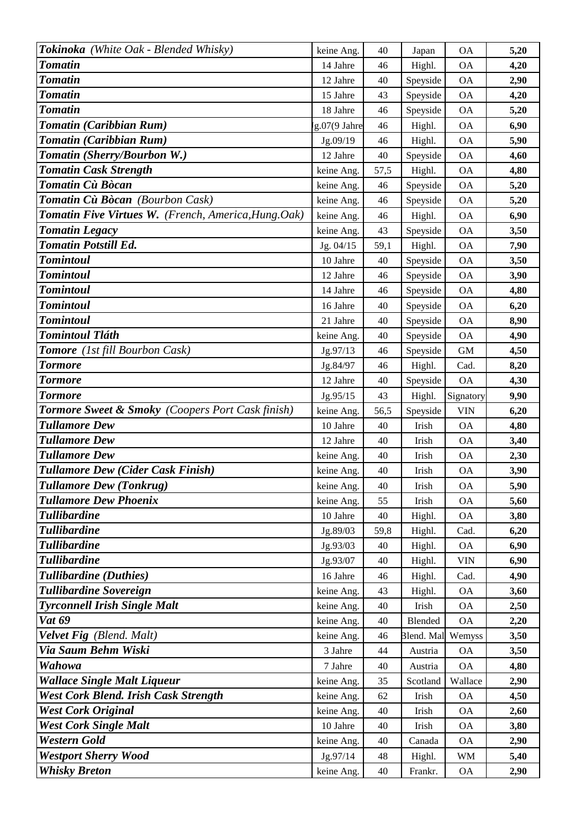| Tokinoka (White Oak - Blended Whisky)                       | keine Ang.   | 40     |                 | <b>OA</b>  | 5,20 |
|-------------------------------------------------------------|--------------|--------|-----------------|------------|------|
| <b>Tomatin</b>                                              | 14 Jahre     | 46     | Japan<br>Highl. | <b>OA</b>  | 4,20 |
| <b>Tomatin</b>                                              | 12 Jahre     | 40     | Speyside        | <b>OA</b>  | 2,90 |
| <b>Tomatin</b>                                              | 15 Jahre     | 43     | Speyside        | <b>OA</b>  | 4,20 |
| <b>Tomatin</b>                                              | 18 Jahre     | 46     | Speyside        | <b>OA</b>  | 5,20 |
| Tomatin (Caribbian Rum)                                     | g.07(9 Jahre | 46     | Highl.          | <b>OA</b>  | 6,90 |
| Tomatin (Caribbian Rum)                                     | Jg.09/19     | 46     | Highl.          | <b>OA</b>  | 5,90 |
| Tomatin (Sherry/Bourbon W.)                                 | 12 Jahre     | 40     | Speyside        | <b>OA</b>  | 4,60 |
| <b>Tomatin Cask Strength</b>                                | keine Ang.   | 57,5   | Highl.          | <b>OA</b>  | 4,80 |
| Tomatin Cù Bòcan                                            | keine Ang.   | 46     | Speyside        | <b>OA</b>  | 5,20 |
| Tomatin Cù Bòcan (Bourbon Cask)                             | keine Ang.   | 46     | Speyside        | <b>OA</b>  | 5,20 |
| Tomatin Five Virtues W. (French, America, Hung. Oak)        | keine Ang.   | 46     | Highl.          | <b>OA</b>  | 6,90 |
| <b>Tomatin Legacy</b>                                       | keine Ang.   | 43     | Speyside        | <b>OA</b>  | 3,50 |
| <b>Tomatin Potstill Ed.</b>                                 | Jg. 04/15    | 59,1   | Highl.          | <b>OA</b>  | 7,90 |
| <b>Tomintoul</b>                                            | 10 Jahre     | 40     | Speyside        | <b>OA</b>  | 3,50 |
| <b>Tomintoul</b>                                            | 12 Jahre     | 46     | Speyside        | <b>OA</b>  | 3,90 |
| <b>Tomintoul</b>                                            | 14 Jahre     | 46     | Speyside        | <b>OA</b>  | 4,80 |
| <b>Tomintoul</b>                                            | 16 Jahre     | 40     | Speyside        | <b>OA</b>  | 6,20 |
| <b>Tomintoul</b>                                            | 21 Jahre     | 40     | Speyside        | <b>OA</b>  | 8,90 |
| <b>Tomintoul Tláth</b>                                      | keine Ang.   | 40     | Speyside        | <b>OA</b>  | 4,90 |
| Tomore (1st fill Bourbon Cask)                              | Jg.97/13     | 46     | Speyside        | <b>GM</b>  | 4,50 |
| <b>Tormore</b>                                              | Jg.84/97     | 46     | Highl.          | Cad.       | 8,20 |
| <b>Tormore</b>                                              | 12 Jahre     | 40     | Speyside        | <b>OA</b>  | 4,30 |
| <b>Tormore</b>                                              | Jg.95/15     | 43     | Highl.          | Signatory  | 9,90 |
| <b>Tormore Sweet &amp; Smoky</b> (Coopers Port Cask finish) | keine Ang.   | 56,5   | Speyside        | <b>VIN</b> | 6,20 |
| <b>Tullamore Dew</b>                                        | 10 Jahre     | 40     | Irish           | <b>OA</b>  | 4,80 |
| <b>Tullamore Dew</b>                                        | 12 Jahre     | 40     | Irish           | <b>OA</b>  | 3,40 |
| <b>Tullamore Dew</b>                                        | keine Ang.   | 40     | Irish           | <b>OA</b>  | 2,30 |
| Tullamore Dew (Cider Cask Finish)                           | keine Ang.   | 40     | Irish           | <b>OA</b>  | 3,90 |
| <b>Tullamore Dew (Tonkrug)</b>                              | keine Ang.   | $40\,$ | Irish           | <b>OA</b>  | 5,90 |
| Tullamore Dew Phoenix                                       | keine Ang.   | 55     | Irish           | <b>OA</b>  | 5,60 |
| <b>Tullibardine</b>                                         | 10 Jahre     | 40     | Highl.          | <b>OA</b>  | 3,80 |
| <b>Tullibardine</b>                                         | Jg.89/03     | 59,8   | Highl.          | Cad.       | 6,20 |
| <b>Tullibardine</b>                                         | Jg.93/03     | $40\,$ | Highl.          | <b>OA</b>  | 6,90 |
| <b>Tullibardine</b>                                         | Jg.93/07     | 40     | Highl.          | <b>VIN</b> | 6,90 |
| <b>Tullibardine</b> (Duthies)                               | 16 Jahre     | 46     | Highl.          | Cad.       | 4,90 |
| Tullibardine Sovereign                                      | keine Ang.   | 43     | Highl.          | <b>OA</b>  | 3,60 |
| <b>Tyrconnell Irish Single Malt</b>                         | keine Ang.   | 40     | Irish           | <b>OA</b>  | 2,50 |
| <b>Vat 69</b>                                               | keine Ang.   | 40     | Blended         | <b>OA</b>  | 2,20 |
| Velvet Fig (Blend. Malt)                                    | keine Ang.   | 46     | Blend. Mal      | Wemyss     | 3,50 |
| Via Saum Behm Wiski                                         | 3 Jahre      | 44     | Austria         | <b>OA</b>  | 3,50 |
| Wahowa                                                      | 7 Jahre      | 40     | Austria         | <b>OA</b>  | 4,80 |
| Wallace Single Malt Liqueur                                 | keine Ang.   | 35     | Scotland        | Wallace    | 2,90 |
| West Cork Blend. Irish Cask Strength                        | keine Ang.   | 62     | Irish           | <b>OA</b>  | 4,50 |
| <b>West Cork Original</b>                                   | keine Ang.   | $40\,$ | Irish           | <b>OA</b>  | 2,60 |
| <b>West Cork Single Malt</b>                                | 10 Jahre     | 40     | Irish           | <b>OA</b>  | 3,80 |
| Western Gold                                                | keine Ang.   | 40     | Canada          | <b>OA</b>  | 2,90 |
| <b>Westport Sherry Wood</b>                                 | Jg.97/14     | 48     | Highl.          | <b>WM</b>  | 5,40 |
| <b>Whisky Breton</b>                                        | keine Ang.   | 40     | Frankr.         | <b>OA</b>  | 2,90 |